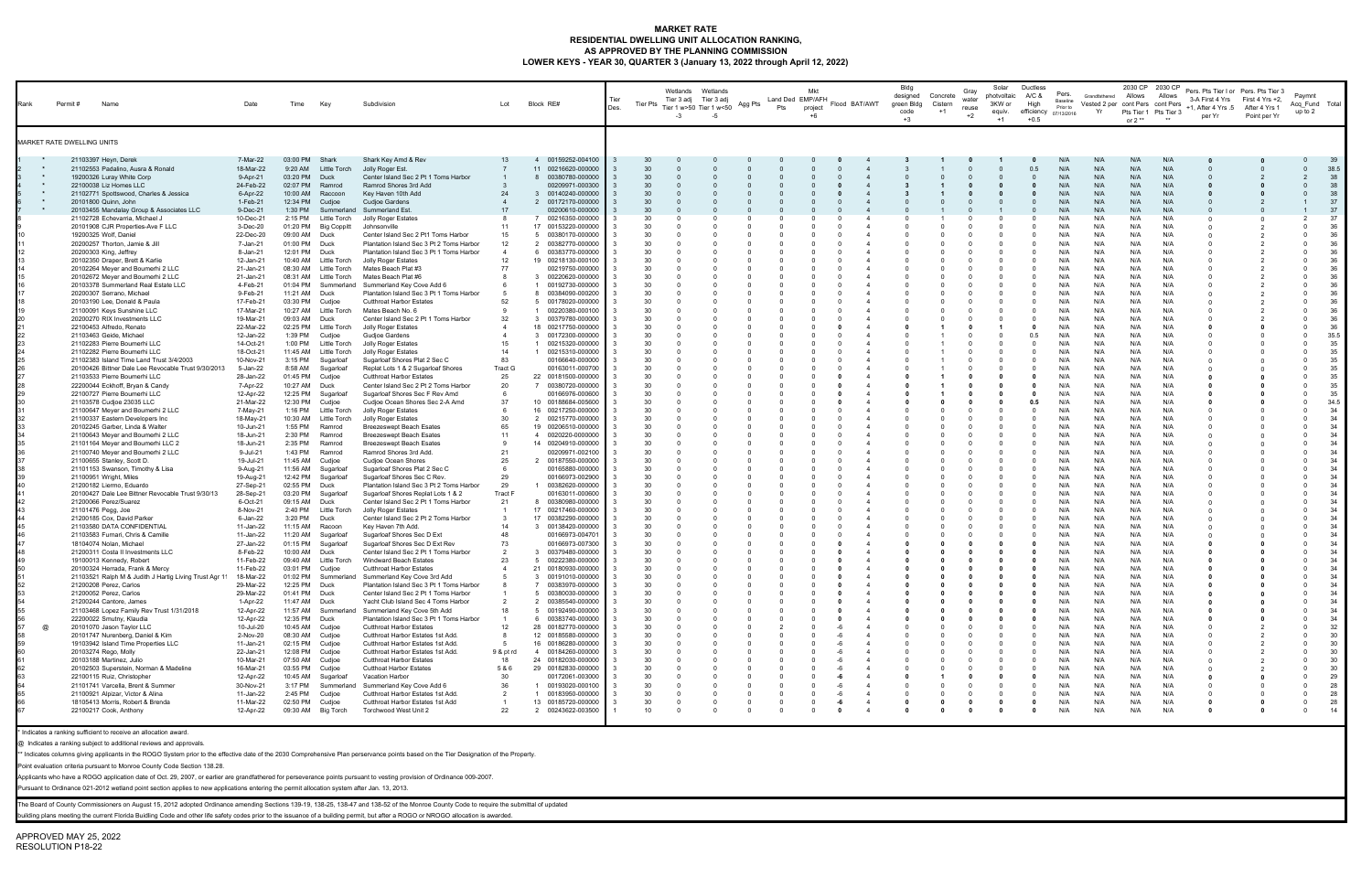### **MARKET RATE RESIDENTIAL DWELLING UNIT ALLOCATION RANKING, AS APPROVED BY THE PLANNING COMMISSION LOWER KEYS - YEAR 30, QUARTER 3 (January 13, 2022 through April 12, 2022)**

| Rank               | Permit #<br>Name                                                                                                                | Date                                | Time                                                  | Key                                             | Subdivision                                                                                                                | Lot                    | Block RE#                                                                        | Tier<br>Des.            | <b>Tier Pts</b>       | Wetlands Wetlands<br>Tier 3 adj Tier 3 adj<br>Tier 1 w>50 Tier 1 w<50<br>$-3$ | Agg Pts<br>-5 | Land Ded EMP/AFH<br>Pts | Mkt<br>project        | Flood BAT/AWT | Bldg<br>designed<br>green Bldg<br>code<br>$+3$ | Concrete<br>Cistern<br>$+1$ | Gray<br>water<br>reuse<br>$+2$ | Solar<br>photvoltaic<br>3KW or<br>equiv.<br>$+1$ | Ductless<br>A/C &<br>High<br>efficiency 07/13/2016<br>$+0.5$ | Pers.<br>Baseline<br>Prior to | Grandfathered Allows<br>Vested 2 per cont Pers cont Pers<br>Yr | 2030 CP 2030 CP<br>or $2**$ | Allows<br>Pts Tier 1 Pts Tier 3 | Pers. Pts Tier I or Pers. Pts Tier 3<br>3-A First 4 Yrs First 4 Yrs +2,<br>+1, After 4 Yrs .5 After 4 Yrs 1<br>per Yr | Point per Yr   | Paymnt<br>Acq Fund Total<br>up to 2 |                  |
|--------------------|---------------------------------------------------------------------------------------------------------------------------------|-------------------------------------|-------------------------------------------------------|-------------------------------------------------|----------------------------------------------------------------------------------------------------------------------------|------------------------|----------------------------------------------------------------------------------|-------------------------|-----------------------|-------------------------------------------------------------------------------|---------------|-------------------------|-----------------------|---------------|------------------------------------------------|-----------------------------|--------------------------------|--------------------------------------------------|--------------------------------------------------------------|-------------------------------|----------------------------------------------------------------|-----------------------------|---------------------------------|-----------------------------------------------------------------------------------------------------------------------|----------------|-------------------------------------|------------------|
|                    | MARKET RATE DWELLING UNITS                                                                                                      |                                     |                                                       |                                                 |                                                                                                                            |                        |                                                                                  |                         |                       |                                                                               |               |                         |                       |               |                                                |                             |                                |                                                  |                                                              |                               |                                                                |                             |                                 |                                                                                                                       |                |                                     |                  |
| $\star$<br>$\star$ | 21103397 Heyn, Derek<br>21102553 Padalino, Ausra & Ronald<br>19200326 Luray White Corp                                          | 7-Mar-22<br>18-Mar-22<br>9-Apr-21   | 03:00 PM<br>9:20 AM<br>03:20 PM                       | Shark<br>Little Torch<br>Duck                   | Shark Key Amd & Rev<br>Jolly Roger Est.<br>Center Island Sec 2 Pt 1 Toms Harbor                                            | 13                     | 4 00159252-004100<br>11 00216620-000000<br>8 00380780-000000                     |                         | 30<br>30<br>30        |                                                                               |               |                         |                       |               |                                                |                             |                                |                                                  | 0.5<br>$\Omega$                                              | N/A<br>N/A<br>N/A             | N/A<br>N/A<br>N/A                                              | N/A<br>N/A<br>N/A           | N/A<br>N/A<br>N/A               |                                                                                                                       |                |                                     | 39<br>38.5<br>38 |
| $\star$            | 22100038 Liz Homes LLC<br>21102771 Spottswood, Charles & Jessica                                                                | 24-Feb-22<br>6-Apr-22               | 02:07 PM<br>10:00 AM                                  | Ramrod<br>Raccoon                               | Ramrod Shores 3rd Add<br>Key Haven 10th Add                                                                                | 24                     | 00209971-000300<br>00140240-000000<br>-3                                         |                         | 30<br>30              |                                                                               |               |                         |                       |               |                                                |                             |                                |                                                  | $\mathbf{0}$                                                 | N/A<br>N/A                    | N/A<br>N/A                                                     | N/A<br>N/A                  | N/A<br>N/A                      |                                                                                                                       |                | $\Omega$                            | 38<br>38         |
| $\star$            | 20101800 Quinn, John<br>20103455 Mandalay Group & Associates LLC<br>21102728 Echevarria, Michael J                              | 1-Feb-21<br>9-Dec-21<br>10-Dec-21   | 12:34 PM<br>1:30 PM<br>2:15 PM                        | Cudjoe<br>Summerland<br>Little Torch            | Cudjoe Gardens<br>Summerland Est.<br>Jolly Roger Estates                                                                   | 8                      | 2 00172170-000000<br>00200610-000000<br>00216350-000000                          |                         | 30<br>30<br>30        |                                                                               |               |                         |                       |               |                                                |                             |                                |                                                  | $\Omega$                                                     | N/A<br>N/A<br>N/A             | N/A<br>N/A<br>N/A                                              | N/A<br>N/A<br>N/A           | N/A<br>N/A<br>N/A               | റ                                                                                                                     |                |                                     | 37<br>37<br>37   |
|                    | 20101908 CJR Properties-Ave F LLC<br>19200325 Wolf, Daniel<br>20200257 Thorton, Jamie & Jill                                    | 3-Dec-20<br>22-Dec-20<br>7-Jan-21   | 01:20 PM<br>09:00 AM<br>01:00 PM                      | Big Coppitt<br>Duck<br>Duck                     | Johnsonville<br>Center Island Sec 2 Pt1 Toms Harbor<br>Plantation Island Sec 3 Pt 2 Toms Harbor                            | 11<br>15<br>12         | 17 00153220-000000<br>00380170-000000<br>-5<br>$\overline{2}$<br>00382770-000000 |                         | 30<br>30<br>30        |                                                                               |               |                         |                       |               |                                                |                             |                                |                                                  | $\Omega$<br>0<br>$\Omega$                                    | N/A<br>N/A<br>N/A             | N/A<br>N/A<br>N/A                                              | N/A<br>N/A<br>N/A           | N/A<br>N/A<br>N/A               |                                                                                                                       | $\overline{2}$ |                                     | 36<br>36<br>36   |
|                    | 20200303 King, Jeffrey<br>20102350 Draper, Brett & Karlie<br>20102264 Meyer and Boumerhi 2 LLC                                  | 8-Jan-21<br>12-Jan-21<br>21-Jan-21  | 12:01 PM<br>10:40 AM<br>08:30 AM                      | Duck<br>Little Torch<br>Little Torch            | Plantation Island Sec 3 Pt 1 Toms Harbor<br>Jolly Roger Estates<br>Mates Beach Plat #3                                     | 12<br>77               | 00383770-000000<br>6<br>19 00218130-000100<br>00219750-000000                    |                         | 30<br>30<br>30        |                                                                               |               |                         |                       |               |                                                |                             |                                |                                                  | $\Omega$<br>$\Omega$                                         | N/A<br>N/A<br>N/A             | N/A<br>N/A<br>N/A                                              | N/A<br>N/A<br>N/A           | N/A<br>N/A<br>N/A               |                                                                                                                       | -2             |                                     | 36<br>36<br>36   |
|                    | 20102672 Meyer and Boumerhi 2 LLC<br>20103378 Summerland Real Estate LLC<br>20200307 Serrano, Michael                           | 21-Jan-21<br>4-Feb-21<br>9-Feb-21   | 08:31 AM<br>01:04 PM<br>11:21 AM                      | Little Torch<br>Summerland<br>Duck              | Mates Beach Plat #6<br>Summerland Key Cove Add 6<br>Plantation Island Sec 3 Pt 1 Toms Harbor                               |                        | 00220620-000000<br>00192730-000000<br>00384090-000200                            |                         | 30<br>30<br>30        |                                                                               |               |                         |                       |               |                                                |                             |                                |                                                  | $\Omega$<br>$\Omega$<br>$\Omega$                             | N/A<br>N/A<br>N/A             | N/A<br>N/A<br>N/A                                              | N/A<br>N/A<br>N/A           | N/A<br>N/A<br>N/A               |                                                                                                                       |                |                                     | 36<br>36<br>36   |
|                    | 20103190 Lee, Donald & Paula<br>21100091 Keys Sunshine LLC<br>20200270 RIX Investments LLC                                      | 17-Feb-21<br>17-Mar-21<br>19-Mar-21 | 03:30 PM<br>10:27 AM<br>09:03 AM                      | Cudjoe<br>Little Torch<br>Duck                  | <b>Cutthroat Harbor Estates</b><br>Mates Beach No. 6<br>Center Island Sec 2 Pt 1 Toms Harbor                               | 52<br>32               | 00178020-000000<br>00220380-000100<br>00379780-000000<br>-3                      |                         | 30<br>30<br>30        |                                                                               |               |                         |                       |               |                                                |                             |                                |                                                  | $\Omega$<br>$\Omega$                                         | N/A<br>N/A<br>N/A             | N/A<br>N/A<br>N/A                                              | N/A<br>N/A<br>N/A           | N/A<br>N/A<br>N/A               |                                                                                                                       |                |                                     | 36<br>36<br>36   |
|                    | 22100453 Alfredo, Renato<br>21103463 Geide, Michael<br>21102283 Pierre Boumerhi LLC                                             | 22-Mar-22<br>12-Jan-22<br>14-Oct-21 | 02:25 PM<br>1:39 PM<br>1:00 PM                        | Little Torch<br>Cudjoe<br>Little Torch          | <b>Jolly Roger Estates</b><br>Gudjoe Gardens<br>Jolly Roger Estates                                                        | 15                     | 18 00217750-000000<br>3 00172300-000000<br>00215320-000000                       |                         | 30<br>30<br>30        |                                                                               |               |                         |                       |               |                                                |                             |                                |                                                  | - 0<br>0.5<br>$\Omega$                                       | N/A<br>N/A<br>N/A             | N/A<br>N/A<br>N/A                                              | N/A<br>N/A<br>N/A           | N/A<br>N/A<br>N/A               |                                                                                                                       |                |                                     | 36<br>35.5<br>35 |
|                    | 21102282 Pierre Boumerhi LLC<br>21102383 Island Time Land Trust 3/4/2003<br>20100426 Bittner Dale Lee Revocable Trust 9/30/2013 | 18-Oct-21<br>10-Nov-21<br>5-Jan-22  | 11:45 AM<br>3:15 PM<br>8:58 AM                        | Little Torch<br>Sugarloaf<br>Sugarloaf          | <b>Jolly Roger Estates</b><br>Sugarloaf Shores Plat 2 Sec C<br>Replat Lots 1 & 2 Sugarloaf Shores                          | 14<br>83<br>Tract G    | 00215310-000000<br>00166640-000000<br>00163011-000700                            |                         | 30<br>30<br>30        |                                                                               |               |                         |                       |               |                                                |                             |                                |                                                  | $\Omega$<br>$\mathbf 0$<br>$\Omega$                          | N/A<br>N/A<br>N/A             | N/A<br>N/A<br>N/A                                              | N/A<br>N/A<br>N/A           | N/A<br>N/A<br>N/A               |                                                                                                                       |                |                                     | 35<br>35<br>35   |
|                    | 21103533 Pierre Boumerhi LLC<br>22200044 Eckhoff, Bryan & Candy<br>22100727 Pierre Boumerhi LLC                                 | 28-Jan-22<br>7-Apr-22<br>12-Apr-22  | 01:45 PM<br>10:27 AM<br>12:25 PM                      | Cudjoe<br>Duck<br>Sugarloaf                     | <b>Cutthroat Harbor Estates</b><br>Center Island Sec 2 Pt 2 Toms Harbor<br>Sugarloaf Shores Sec F Rev Amd                  | 25<br>20               | 22 00181500-000000<br>00380720-000000<br>$\overline{7}$<br>00166976-000600       |                         | 30<br>30<br>30        |                                                                               |               |                         |                       |               |                                                |                             |                                |                                                  | - 0<br>- 0                                                   | N/A<br>N/A<br>N/A             | N/A<br>N/A<br>N/A                                              | N/A<br>N/A<br>N/A           | N/A<br>N/A<br>N/A               |                                                                                                                       |                | $\Omega$                            | 35<br>35<br>35   |
|                    | 21103578 Cudjoe 23035 LLC<br>21100647 Meyer and Boumerhi 2 LLC<br>21100337 Eastern Developers Inc                               | 21-Mar-22<br>7-May-21<br>18-May-21  | 12:30 PM<br>1:16 PM                                   | Cudjoe<br>Little Torch<br>10:30 AM Little Torch | Cudjoe Ocean Shores Sec 2-A Amd<br>Jolly Roger Estates<br>Jolly Roger Estates                                              | 37<br>30               | 10 00188684-005600<br>16 00217250-000000<br>2 00215770-000000                    |                         | 30<br>30<br>30        |                                                                               |               |                         |                       |               |                                                |                             |                                |                                                  | 0.5<br>$\mathbf 0$<br>$\Omega$                               | N/A<br>N/A<br>N/A             | N/A<br>N/A<br>N/A                                              | N/A<br>N/A<br>N/A           | N/A<br>N/A<br>N/A               |                                                                                                                       |                |                                     | 34.5<br>34<br>34 |
|                    | 20102245 Garber, Linda & Walter<br>21100643 Meyer and Boumerhi 2 LLC<br>21101164 Meyer and Boumerhi LLC 2                       | 10-Jun-21<br>18-Jun-21<br>18-Jun-21 | 1:55 PM<br>2:30 PM<br>2:35 PM                         | Ramrod<br>Ramrod<br>Ramrod                      | <b>Breezeswept Beach Esates</b><br><b>Breezeswept Beach Esates</b><br><b>Breezeswept Beach Esates</b>                      | 65<br>11<br>9          | 19 00206510-000000<br>0020220-0000000<br>$\overline{a}$<br>14 00204910-000000    |                         | 30<br>30<br>30        |                                                                               |               |                         |                       |               |                                                |                             |                                |                                                  | $\mathbf 0$<br>$\Omega$<br>0                                 | N/A<br>N/A<br>N/A             | N/A<br>N/A<br>N/A                                              | N/A<br>N/A<br>N/A           | N/A<br>N/A<br>N/A               |                                                                                                                       |                |                                     | 34<br>34<br>34   |
|                    | 21100740 Meyer and Boumerhi 2 LLC<br>21100655 Stanley, Scott D.<br>21101153 Swanson, Timothy & Lisa                             | 9-Jul-21<br>19-Jul-21<br>9-Aug-21   | 1:43 PM<br>11:45 AM<br>11:56 AM                       | Ramrod<br>Cudjoe<br>Sugarloaf                   | Ramrod Shores 3rd Add.<br>Cudjoe Ocean Shores<br>Sugarloaf Shores Plat 2 Sec C                                             | 21<br>25               | 00209971-002100<br>00187550-000000<br>2<br>00165880-000000                       |                         | 30<br>30<br>30        |                                                                               |               |                         |                       |               |                                                |                             |                                |                                                  | $\Omega$<br>$\Omega$<br>$\Omega$                             | N/A<br>N/A<br>N/A             | N/A<br>N/A<br>N/A                                              | N/A<br>N/A<br>N/A           | N/A<br>N/A<br>N/A               |                                                                                                                       |                |                                     | 34<br>34<br>34   |
|                    | 21100951 Wright, Miles<br>21200182 Liermo, Eduardo<br>20100427 Dale Lee Bittner Revocable Trust 9/30/13                         | 19-Aug-21<br>27-Sep-21<br>28-Sep-21 | 12:42 PM<br>02:55 PM<br>03:20 PM                      | Sugarloaf<br>Duck<br>Sugarloaf                  | Sugarloaf Shores Sec C Rev.<br>Plantation Island Sec 3 Pt 2 Toms Harbor<br>Sugarloaf Shores Replat Lots 1 & 2              | 29<br>29<br>Tract F    | 00166973-002900<br>00382620-000000<br>00163011-000600                            |                         | 30<br>30<br>30        |                                                                               |               |                         |                       |               |                                                |                             |                                |                                                  | $\Omega$<br>$\Omega$<br>$\Omega$                             | N/A<br>N/A<br>N/A             | N/A<br>N/A<br>N/A                                              | N/A<br>N/A<br>N/A           | N/A<br>N/A<br>N/A               |                                                                                                                       |                |                                     | 34<br>34<br>34   |
|                    | 21200066 Perez/Suarez<br>21101476 Pegg, Joe<br>21200185 Cox, David Parker                                                       | 6-Oct-21<br>8-Nov-21<br>6-Jan-22    | 09:15 AM<br>2:40 PM<br>3:20 PM                        | Duck<br>Little Torch<br>Duck                    | Center Island Sec 2 Pt 1 Toms Harbor<br>Jolly Roger Estates<br>Center Island Sec 2 Pt 2 Toms Harbor                        | 21                     | 00380980-000000<br>17 00217460-000000<br>17 00382290-000000                      |                         | 30<br>30<br>30        |                                                                               |               |                         | - 0                   |               |                                                |                             |                                |                                                  | $\Omega$<br>$\Omega$                                         | N/A<br>N/A<br>N/A             | N/A<br>N/A<br>N/A                                              | N/A<br>N/A<br>N/A           | N/A<br>N/A<br>N/A               |                                                                                                                       |                |                                     | 34<br>34<br>34   |
|                    | 21103580 DATA CONFIDENTIAL<br>21103583 Furnari, Chris & Camille<br>18104074 Nolan, Michael                                      | 11-Jan-22<br>11-Jan-22<br>27-Jan-22 | 11:15 AM<br>11:20 AM<br>01:15 PM                      | Racoon<br>Sugarloaf<br>Sugarloaf                | Key Haven 7th Add.<br>Sugarloaf Shores Sec D Ext<br>Sugarloaf Shores Sec D Ext Rev                                         | 14<br>48<br>73         | 3 00138420-000000<br>00166973-004701<br>00166973-007300                          |                         | 30<br>30<br>30        |                                                                               |               |                         |                       |               |                                                |                             |                                |                                                  | $\Omega$<br>$\mathbf 0$                                      | N/A<br>N/A<br>N/A             | N/A<br>N/A<br>N/A                                              | N/A<br>N/A<br>N/A           | N/A<br>N/A<br>N/A               |                                                                                                                       |                | -0                                  | 34<br>34<br>34   |
|                    | 21200311 Costa II Investments LLC<br>19100013 Kennedy, Robert<br>20100324 Herrada, Frank & Mercy                                | 8-Feb-22<br>11-Feb-22<br>11-Feb-22  | 10:00 AM<br>09:40 AM<br>03:01 PM                      | Duck<br>Little Torch<br>Cudjoe                  | Center Island Sec 2 Pt 1 Toms Harbor<br>Windward Beach Estates<br><b>Cutthroat Harbor Estates</b>                          |                        | 00379480-000000<br>-3<br>00222380-000000<br>-5<br>21 00180930-000000             |                         | 30<br>30<br>30        |                                                                               |               |                         |                       |               |                                                |                             |                                |                                                  | - 0<br>0                                                     | N/A<br>N/A<br>N/A             | N/A<br>N/A<br>N/A                                              | N/A<br>N/A<br>N/A           | N/A<br>N/A<br>N/A               |                                                                                                                       |                |                                     | 34<br>34<br>34   |
|                    | 21103521 Ralph M & Judith J Hartig Living Trust Agr 11<br>21200208 Perez, Carlos<br>21200052 Perez, Carlos                      | 18-Mar-22<br>29-Mar-22<br>29-Mar-22 | 01:02 PM<br>12:25 PM<br>01:41 PM Duck                 | Duck                                            | Summerland Summerland Key Cove 3rd Add<br>Plantation Island Sec 3 Pt 1 Toms Harbor<br>Center Island Sec 2 Pt 1 Toms Harbor |                        | 3 00191010-000000<br>00383970-000000<br>00380030-000000<br>-5                    | - 3                     | 30<br>30<br>30        |                                                                               |               |                         | - 0                   |               |                                                |                             |                                |                                                  |                                                              | N/A<br>N/A<br>N/A             | N/A<br>N/A<br>N/A                                              | N/A<br>N/A<br>N/A           | N/A<br>N/A<br>N/A               |                                                                                                                       |                |                                     | 34<br>34<br>34   |
|                    | 21200244 Cantore, James<br>21103468 Lopez Family Rev Trust 1/31/2018<br>22200022 Smutny, Klaudia                                | 1-Apr-22<br>12-Apr-22<br>12-Apr-22  | 11:47 AM Duck<br>11:57 AM<br>12:35 PM                 | Summerland<br>Duck                              | Yacht Club Island Sec 4 Toms Harbor<br>Summerland Key Cove 5th Add<br>Plantation Island Sec 3 Pt 1 Toms Harbor             | 18                     | 00385540-000000<br>- 2<br>00192490-000000<br>-5<br>6 00383740-000000             | $_{3}$                  | 30<br>30<br>30        |                                                                               |               | $\Omega$                | - 0                   |               |                                                |                             |                                |                                                  | 0                                                            | N/A<br>N/A<br>N/A             | N/A<br>N/A<br>N/A                                              | N/A<br>N/A<br>N/A           | N/A<br>N/A<br>N/A               |                                                                                                                       |                | $\Omega$                            | 34<br>34<br>34   |
| @                  | 20101070 Jason Taylor LLC<br>20101747 Nurenberg, Daniel & Kim<br>19103942 Island Time Properties LLC                            | 10-Jul-20<br>2-Nov-20<br>11-Jan-21  | 10:45 AM Cudjoe<br>08:30 AM Cudjoe<br>02:15 PM Cudjoe |                                                 | <b>Cutthroat Harbor Estates</b><br>Cutthroat Harbor Estates 1st Add.<br>Cutthroat Harbor Estates 1st Add.                  | 12                     | 28 00182770-000000<br>12 00185580-000000<br>16 00186280-000000                   | $\mathbf{3}$            | 30<br>30<br>30        |                                                                               |               |                         |                       |               |                                                |                             |                                |                                                  | $\Omega$<br>$\Omega$<br>$\Omega$                             | N/A<br>N/A<br>N/A             | N/A<br>N/A<br>N/A                                              | N/A<br>N/A<br>N/A           | N/A<br>N/A<br>N/A               |                                                                                                                       |                | $\Omega$<br>$\Omega$                | 32<br>30<br>30   |
|                    | 20103274 Rego, Molly<br>20103188 Martinez, Julio<br>20102503 Superstein, Norman & Madeline                                      | 22-Jan-21<br>10-Mar-21<br>16-Mar-21 | 12:08 PM Cudjoe<br>07:50 AM Cudjoe<br>03:55 PM Cudjoe |                                                 | Cutthroat Harbor Estates 1st Add.<br><b>Cutthroat Harbor Estates</b><br><b>Cutthoat Harbor Estates</b>                     | 9 & pt rd<br>18<br>5&6 | 4 00184260-000000<br>24 00182030-000000<br>29 00182830-000000                    | - 3<br>- 3              | 30<br>30<br>30        |                                                                               |               |                         |                       |               |                                                |                             |                                |                                                  | $\Omega$<br>$\Omega$                                         | N/A<br>N/A<br>N/A             | N/A<br>N/A<br>N/A                                              | N/A<br>N/A<br>N/A           | N/A<br>N/A<br>N/A               |                                                                                                                       |                | $\Omega$                            | 30<br>30<br>30   |
|                    | 22100115 Ruiz, Christopher<br>21101741 Varcella, Brent & Summer<br>21100921 Alpizar, Victor & Alina                             | 12-Apr-22<br>30-Nov-21<br>11-Jan-22 | 10:45 AM<br>3:17 PM<br>2:45 PM                        | Sugarloaf<br>Summerland<br>Cudjoe               | Vacation Harbor<br>Summerland Key Cove Add 6<br>Cutthroat Harbor Estates 1st Add.                                          | 30<br>36               | 00172061-003000<br>00193020-000100<br>00183950-000000<br>$\mathbf{1}$            | $\overline{\mathbf{3}}$ | 30<br>30<br>30        | $\Omega$                                                                      |               | - 0                     |                       | -6            |                                                |                             |                                |                                                  | $\Omega$                                                     | N/A<br>N/A<br>N/A             | N/A<br>N/A<br>N/A                                              | N/A<br>N/A<br>N/A           | N/A<br>N/A<br>N/A               |                                                                                                                       |                | $\Omega$                            | 29<br>28<br>28   |
|                    | 18105413 Morris, Robert & Brenda<br>22100217 Cook, Anthony                                                                      | 11-Mar-22<br>12-Apr-22              | 02:50 PM                                              | Cudjoe<br>09:30 AM Big Torch                    | Cutthroat Harbor Estates 1st Add<br>Torchwood West Unit 2                                                                  | 22                     | 13 00185720-000000<br>00243622-003500<br>$\overline{2}$                          |                         | 30<br>10 <sup>1</sup> | $\Omega$                                                                      | - 0           | $\Omega$                | -6<br>$\Omega$<br>- 0 |               |                                                |                             |                                |                                                  | 0<br>$\mathbf{0}$                                            | N/A<br>N/A                    | N/A<br>N/A                                                     | N/A<br>N/A                  | N/A<br>N/A                      |                                                                                                                       |                | $\Omega$<br>$\Omega$                | 28<br>14         |

\* Indicates a ranking sufficient to receive an allocation award.

@ Indicates a ranking subject to additional reviews and approvals.

\*\* Indicates columns giving applicants in the ROGO System prior to the effective date of the 2030 Comprehensive Plan perservance points based on the Tier Designation of the Property.

Point evaluation criteria pursuant to Monroe County Code Section 138.28.

Applicants who have a ROGO application date of Oct. 29, 2007, or earlier are grandfathered for perseverance points pursuant to vesting provision of Ordinance 009-2007.

Pursuant to Ordinance 021-2012 wetland point section applies to new applications entering the permit allocation system after Jan. 13, 2013.

The Board of County Commissioners on August 15, 2012 adopted Ordinance amending Sections 139-19, 138-25, 138-47 and 138-52 of the Monroe County Code to require the submittal of updated

building plans meeting the current Florida Buidling Code and other life safety codes prior to the issuance of a building permit, but after a ROGO or NROGO allocation is awarded.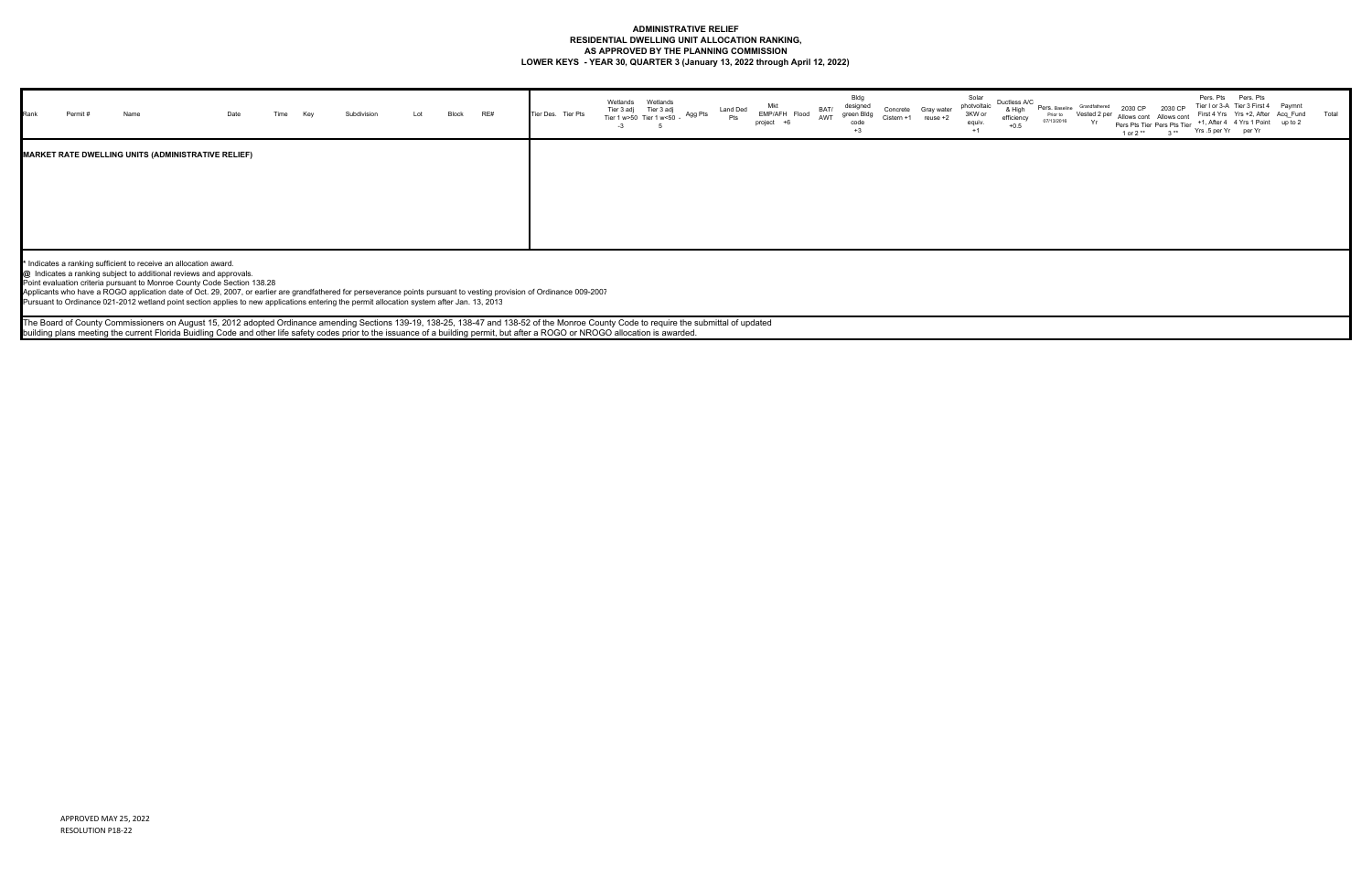## **ADMINISTRATIVE RELIEF RESIDENTIAL DWELLING UNIT ALLOCATION RANKING, AS APPROVED BY THE PLANNING COMMISSION LOWER KEYS - YEAR 30, QUARTER 3 (January 13, 2022 through April 12, 2022)**

| Rank | Permit # | Name                                                      | Date | Time | Key | Subdivision | Lot | Block | RE# |  | Tier Des. Tier Pts | Wetlands<br>$-3$ | Wetlands<br>Tier 3 adj Tier 3 adj<br>Tier 1 w>50 Tier 1 w<50<br>5 | Agg Pts | <b>Land Ded</b><br>Pts | Mkt<br>EMP/AFH Flood<br>project +6 | BAT/<br>AWT | Bldg<br>designed<br>green Bldg<br>code<br>$+3$ | Concrete<br>Cistern +1 | Gray water<br>reuse +2 | Solar<br>Solar<br>photvoltaic Duc<br>3KW or<br>ef<br>equiv.<br>$+1$ |
|------|----------|-----------------------------------------------------------|------|------|-----|-------------|-----|-------|-----|--|--------------------|------------------|-------------------------------------------------------------------|---------|------------------------|------------------------------------|-------------|------------------------------------------------|------------------------|------------------------|---------------------------------------------------------------------|
|      |          | <b>MARKET RATE DWELLING UNITS (ADMINISTRATIVE RELIEF)</b> |      |      |     |             |     |       |     |  |                    |                  |                                                                   |         |                        |                                    |             |                                                |                        |                        |                                                                     |
|      |          |                                                           |      |      |     |             |     |       |     |  |                    |                  |                                                                   |         |                        |                                    |             |                                                |                        |                        |                                                                     |

| Ductless A/C<br>& High<br>efficiency<br>$+0.5$ | Pers, Baseline<br>Prior to<br>07/13/2016 | Grandfathered<br>Vested 2 per<br>Yr | 2030 CP<br>Allows cont<br>1 or 2 ** | 2030 CP<br>Allows cont<br>Pers Pts Tier Pers Pts Tier<br>$3**$ | Pers. Pts<br>Yrs .5 per Yr | Pers. Pts<br>Tier I or 3-A Tier 3 First 4<br>First 4 Yrs Yrs +2, After Acq Fund<br>+1, After 4 4 Yrs 1 Point<br>per Yr | Paymnt<br>up to 2 | Total |
|------------------------------------------------|------------------------------------------|-------------------------------------|-------------------------------------|----------------------------------------------------------------|----------------------------|------------------------------------------------------------------------------------------------------------------------|-------------------|-------|
|                                                |                                          |                                     |                                     |                                                                |                            |                                                                                                                        |                   |       |
|                                                |                                          |                                     |                                     |                                                                |                            |                                                                                                                        |                   |       |
|                                                |                                          |                                     |                                     |                                                                |                            |                                                                                                                        |                   |       |
|                                                |                                          |                                     |                                     |                                                                |                            |                                                                                                                        |                   |       |

**\*** Indicates a ranking sufficient to receive an allocation award.

**@** Indicates a ranking subject to additional reviews and approvals.

Point evaluation criteria pursuant to Monroe County Code Section 138.28

Applicants who have a ROGO application date of Oct. 29, 2007, or earlier are grandfathered for perseverance points pursuant to vesting provision of Ordinance 009-2007

Pursuant to Ordinance 021-2012 wetland point section applies to new applications entering the permit allocation system after Jan. 13, 2013

The Board of County Commissioners on August 15, 2012 adopted Ordinance amending Sections 139-19, 138-25, 138-47 and 138-52 of the Monroe County Code to require the submittal of updated building plans meeting the current Florida Buidling Code and other life safety codes prior to the issuance of a building permit, but after a ROGO or NROGO allocation is awarded.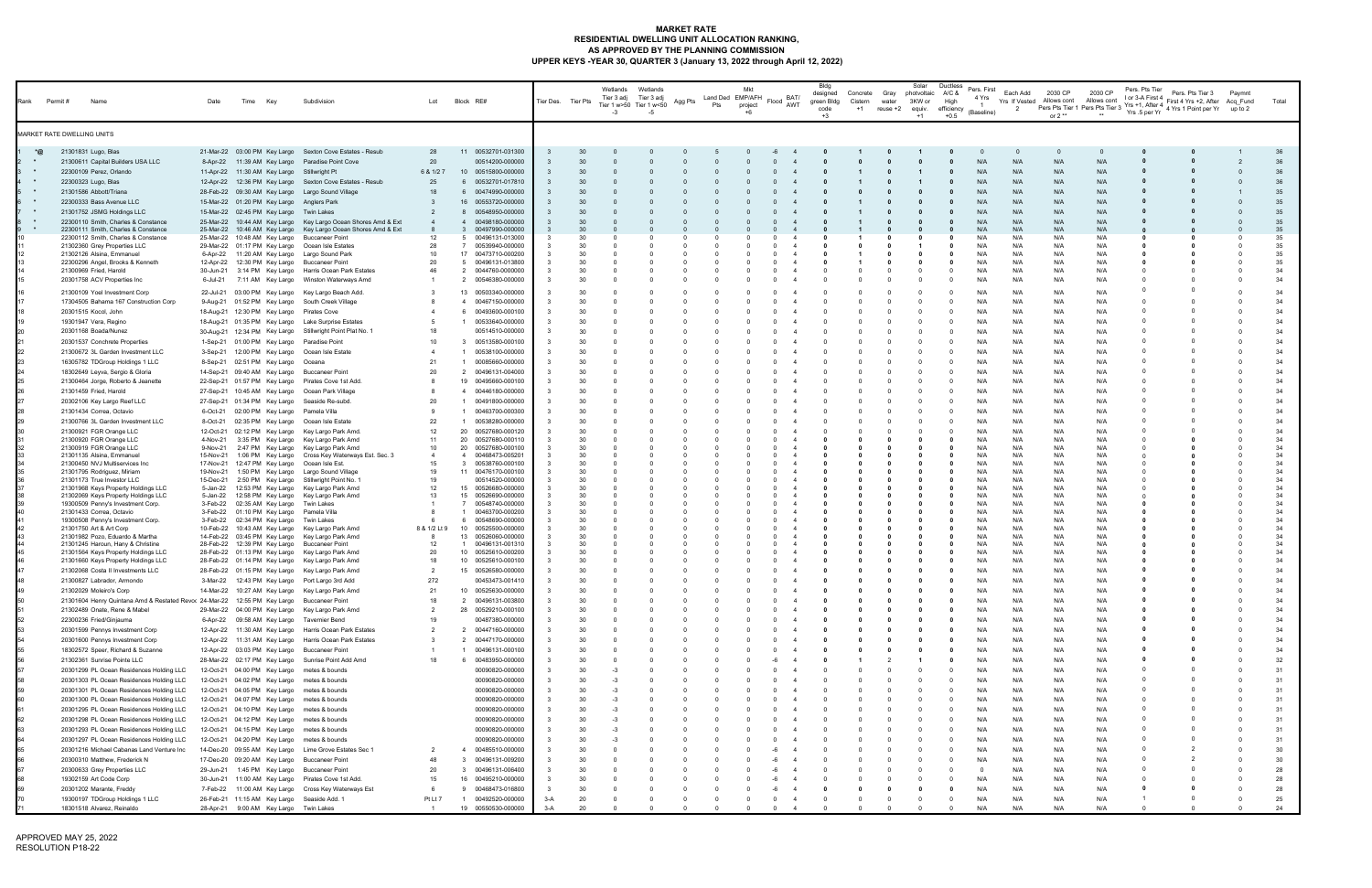# **MARKET RATE RESIDENTIAL DWELLING UNIT ALLOCATION RANKING, AS APPROVED BY THE PLANNING COMMISSION UPPER KEYS -YEAR 30, QUARTER 3 (January 13, 2022 through April 12, 2022)**

| Rank          | Permit #<br>Name                                                                           |                                                                                                                                  | Date                                          | Time | Key                                                          | Subdivision                                                                                                                                             | Lot                            | Block RE#                                                                           |                      | Tier Des. Tier Pts   | Wetlands<br>Tier 3 adj<br>$-3$ | Wetlands<br>Tier 3 adj<br>Tier 1 w>50 Tier 1 w<50<br>-5 | Agg Pts  | Pts | Mkt<br>Land Ded EMP/AFH<br>project | BAT/<br>Flood<br>AWT       | Bldg<br>designed<br>green Bldg<br>code<br>$+3$ | Concrete Gray<br>Cistern<br>$+1$ | water<br>reuse +2 | Solar<br>photvoltaic<br>3KW or<br>equiv.<br>$+1$ | Ductless<br>Pers. First<br>A/C &<br>4 Yrs<br>High<br>efficiency<br>(Baseline)<br>$+0.5$ | Each Add<br>- 2          | 2030 CP<br>Yrs If Vested Allows cont<br>or $2**$ | 2030 CP<br>Allows cont   | Pers. Pts Tier<br>I or 3-A First 4<br>Pers Pts Tier 1 Pers Pts Tier 3 Yrs +1, After 4 $\gamma$ Pers Pts Tier 3 Yrs 5 per Yr | Pers. Pts Tier 3<br>First 4 Yrs +2, After Acq Fund<br>4 Yrs 1 Point per Yr up to 2 | Paymnt   | Total                |
|---------------|--------------------------------------------------------------------------------------------|----------------------------------------------------------------------------------------------------------------------------------|-----------------------------------------------|------|--------------------------------------------------------------|---------------------------------------------------------------------------------------------------------------------------------------------------------|--------------------------------|-------------------------------------------------------------------------------------|----------------------|----------------------|--------------------------------|---------------------------------------------------------|----------|-----|------------------------------------|----------------------------|------------------------------------------------|----------------------------------|-------------------|--------------------------------------------------|-----------------------------------------------------------------------------------------|--------------------------|--------------------------------------------------|--------------------------|-----------------------------------------------------------------------------------------------------------------------------|------------------------------------------------------------------------------------|----------|----------------------|
|               | MARKET RATE DWELLING UNITS                                                                 |                                                                                                                                  |                                               |      |                                                              |                                                                                                                                                         |                                |                                                                                     |                      |                      |                                |                                                         |          |     |                                    |                            |                                                |                                  |                   |                                                  |                                                                                         |                          |                                                  |                          |                                                                                                                             |                                                                                    |          |                      |
| *@<br>$\star$ | 21301831 Lugo, Blas<br>22300109 Perez, Orlando                                             | 21300611 Capital Builders USA LLC                                                                                                | 21-Mar-22                                     |      |                                                              | 03:00 PM Key Largo Sexton Cove Estates - Resub<br>8-Apr-22 11:39 AM Key Largo Paradise Point Cove<br>11-Apr-22 11:30 AM Key Largo Stillwright Pt        | 28<br>20<br>6 & 1/2 7          | 00532701-031300<br>11<br>00514200-000000<br>10<br>00515800-000000                   |                      | 30<br>30<br>30       |                                |                                                         |          |     |                                    |                            |                                                |                                  |                   |                                                  | N/A<br>N/A                                                                              | N/A<br>N/A               | N/A<br>N/A                                       | N/A<br>N/A               |                                                                                                                             |                                                                                    |          | 36<br>36             |
| $\star$       | 22300323 Lugo, Blas<br>21301586 Abbott/Triana<br>22300333 Bass Avenue LLC                  |                                                                                                                                  |                                               |      |                                                              | 12-Apr-22 12:36 PM Key Largo Sexton Cove Estates - Resub<br>28-Feb-22 09:30 AM Key Largo Largo Sound Village                                            | 25<br>18<br>3                  | 00532701-017810<br>6<br>00474990-000000<br>6                                        |                      | 30<br>30<br>30       |                                |                                                         |          |     |                                    |                            |                                                |                                  |                   |                                                  | N/A<br>N/A<br>N/A                                                                       | N/A<br>N/A               | N/A<br>N/A<br>N/A                                | N/A<br>N/A<br>N/A        |                                                                                                                             |                                                                                    |          | 36<br>35<br>35       |
| $\star$       | 21301752 JSMG Holdings LLC                                                                 | 22300110 Smith, Charles & Constance                                                                                              |                                               |      |                                                              | 15-Mar-22 01:20 PM Key Largo Anglers Park<br>15-Mar-22 02:45 PM Key Largo Twin Lakes<br>25-Mar-22 10:44 AM Key Largo Key Largo Ocean Shores Amd & Ext   | 2                              | 16 00553720-000000<br>00548950-000000<br>8<br>00498180-000000<br>$\overline{4}$     |                      | 30<br>30             |                                |                                                         |          |     |                                    |                            |                                                |                                  |                   |                                                  | N/A<br>N/A                                                                              | N/A<br>N/A<br>N/A        | N/A<br>N/A                                       | N/A<br>N/A               |                                                                                                                             |                                                                                    |          | 35<br>35             |
|               | 21302360 Grey Properties LLC                                                               | 22300111 Smith, Charles & Constance<br>22300112 Smith, Charles & Constance                                                       | 25-Mar-22<br>25-Mar-22                        |      |                                                              | 10:46 AM Key Largo Key Largo Ocean Shores Amd & Ext<br>10:48 AM Key Largo Buccaneer Point<br>29-Mar-22 01:17 PM Key Largo Ocean Isle Estates            | 12<br>-28                      | 00497990-000000<br>3<br>00496131-013000<br>5<br>7 00539940-000000                   |                      | 30<br>30             |                                |                                                         |          |     |                                    |                            |                                                |                                  |                   |                                                  | N/A<br>N/A<br>N/A                                                                       | N/A<br>N/A<br>N/A        | N/A<br>N/A<br>N/A                                | N/A<br>N/L<br>N/A        |                                                                                                                             |                                                                                    |          | 35<br>35<br>35       |
|               | 21302126 Alsina, Emmanuel<br>22300296 Angel, Brooks & Kenneth<br>21300969 Fried, Harold    |                                                                                                                                  |                                               |      |                                                              | 6-Apr-22 11:20 AM Key Largo Largo Sound Park<br>12-Apr-22 12:30 PM Key Largo Buccaneer Point<br>30-Jun-21 3:14 PM Key Largo Harris Ocean Park Estates   | 10<br>-20<br>46                | 17 00473710-000200<br>5 00496131-013800<br>2 0044760-0000000                        |                      | 30<br>30<br>30       |                                |                                                         |          |     |                                    |                            |                                                |                                  |                   | - 0                                              | N/A<br>N/A<br>N/A                                                                       | N/A<br>N/A<br>N/A        | N/A<br>N/A<br>N/A                                | N/L<br>N/A<br>N/A        |                                                                                                                             |                                                                                    |          | 35<br>35<br>34       |
|               | 20301758 ACV Properties Inc<br>21300109 Yoel Investment Corp                               |                                                                                                                                  | 6-Jul-21                                      |      |                                                              | 7:11 AM Key Largo Winston Waterways Amd<br>22-Jul-21 03:00 PM Key Largo Key Largo Beach Add.                                                            |                                | 2 00546380-000000<br>13 00503340-000000                                             |                      | 30<br>30             |                                |                                                         |          |     |                                    |                            |                                                |                                  |                   |                                                  | N/A<br>N/A                                                                              | N/A<br>N/A               | N/A<br>N/A                                       | N/A<br>N/A               |                                                                                                                             |                                                                                    |          | 34<br>34             |
|               | 20301515 Kocol, John<br>19301947 Vera, Regino                                              | 17304505 Bahama 167 Construction Corp                                                                                            |                                               |      |                                                              | 9-Aug-21 01:52 PM Key Largo South Creek Village<br>18-Aug-21 12:30 PM Key Largo Pirates Cove<br>18-Aug-21 01:35 PM Key Largo Lake Surprise Estates      |                                | 00467150-000000<br>4<br>00493600-000100<br>6<br>00533640-000000                     |                      | 30<br>30<br>30       |                                |                                                         |          |     |                                    |                            |                                                |                                  |                   |                                                  | N/A<br>N/A<br>N/A                                                                       | N/A<br>N/A<br>N/A        | N/A<br>N/A<br>N/A                                | N/A<br>N/A<br>N/A        |                                                                                                                             |                                                                                    |          | 34<br>34<br>34       |
|               | 20301168 Boada/Nunez<br>20301537 Conchrete Properties                                      |                                                                                                                                  |                                               |      |                                                              | 30-Aug-21 12:34 PM Key Largo Stillwright Point Plat No. 1<br>1-Sep-21 01:00 PM Key Largo Paradise Point                                                 | 18<br>10                       | 00514510-000000<br>00513580-000100<br>-3                                            |                      | 30<br>30             |                                |                                                         |          |     |                                    |                            |                                                |                                  |                   |                                                  | N/A<br>N/A                                                                              | N/A<br>N/A               | N/A<br>N/A                                       | N/A<br>N/A               |                                                                                                                             |                                                                                    |          | 34<br>34             |
|               | 16305782 TDGroup Holdings 1 LLC<br>18302649 Leyva, Sergio & Gloria                         | 21300672 3L Garden Investment LLC                                                                                                |                                               |      | 8-Sep-21 02:51 PM Key Largo Oceana                           | 3-Sep-21 12:00 PM Key Largo Ocean Isle Estate<br>14-Sep-21 09:40 AM Key Largo Buccaneer Point                                                           | 21<br>20                       | 00538100-000000<br>00085660-000000<br>2<br>00496131-004000                          |                      | 30<br>30<br>30       |                                |                                                         |          |     |                                    |                            |                                                |                                  |                   |                                                  | N/A<br>N/A<br>N/A                                                                       | N/A<br>N/A<br>N/A        | N/A<br>N/A<br>N/A                                | N/A<br>N/L<br>N/A        |                                                                                                                             |                                                                                    |          | 34<br>34<br>34       |
|               | 21301459 Fried, Harold<br>20302106 Key Largo Reef LLC                                      | 21300464 Jorge, Roberto & Jeanette                                                                                               |                                               |      | 27-Sep-21 01:34 PM Key Largo                                 | 22-Sep-21 01:57 PM Key Largo Pirates Cove 1st Add.<br>27-Sep-21 10:45 AM Key Largo Ocean Park Village<br>Seaside Re-subd.                               | -20                            | 19<br>00495660-000100<br>$\overline{4}$<br>00446180-000000<br>00491800-000000<br>-1 |                      | 30<br>30<br>30       |                                |                                                         |          |     |                                    |                            |                                                |                                  |                   |                                                  | N/A<br>N/A<br>N/A                                                                       | N/A<br>N/A<br>N/A        | N/A<br>N/A<br>N/A                                | N/A<br>N/A<br>N/A        |                                                                                                                             |                                                                                    |          | 34<br>34<br>34       |
|               | 21301434 Correa, Octavio                                                                   | 21300766 3L Garden Investment LLC                                                                                                | 8-Oct-21                                      |      |                                                              | 6-Oct-21 02:00 PM Key Largo Pamela Villa<br>02:35 PM Key Largo Ocean Isle Estate                                                                        | 9<br>22                        | 00463700-000300<br>1<br>00538280-000000<br>$\overline{1}$                           |                      | 30<br>30             |                                |                                                         |          |     |                                    |                            |                                                |                                  |                   |                                                  | N/A<br>N/A                                                                              | N/A<br>N/A               | N/A<br>N/A                                       | N/A<br>N/L               |                                                                                                                             |                                                                                    |          | 34<br>34             |
|               | 21300921 FGR Orange LLC<br>21300920 FGR Orange LLC<br>21300919 FGR Orange LLC              |                                                                                                                                  | 12-Oct-21<br>4-Nov-21<br>9-Nov-21             |      |                                                              | 02:12 PM Key Largo Key Largo Park Amd<br>3:35 PM Key Largo Key Largo Park Amd<br>2:47 PM Key Largo Key Largo Park Amd                                   | 12<br>11<br>10                 | 20 00527680-000120<br>20 00527680-000110<br>20 00527680-000100                      |                      | 30<br>30<br>30       |                                |                                                         |          |     |                                    |                            |                                                |                                  |                   |                                                  | N/A<br>N/A<br>N/A                                                                       | N/A<br>N/A<br>N/A        | N/A<br>N/A<br>N/A                                | N/L<br>N/L<br>N/A        |                                                                                                                             |                                                                                    |          | 34<br>34<br>34       |
|               | 21301135 Alsina, Emmanuel<br>21300450 NVJ Multiservices Inc<br>21301795 Rodriguez, Miriam  |                                                                                                                                  | 15-Nov-21<br>19-Nov-21                        |      |                                                              | 1:06 PM Key Largo Cross Key Waterways Est. Sec. 3<br>17-Nov-21 12:47 PM Key Largo Ocean Isle Est.<br>1:50 PM Key Largo Largo Sound Village              | $\overline{4}$<br>15<br>19     | 4 00468473-005201<br>3 00538760-000100<br>11 00476170-000100                        |                      | 30<br>30<br>30       |                                |                                                         |          |     |                                    |                            |                                                |                                  |                   |                                                  | N/A<br>N/A<br>N/A                                                                       | N/A<br>N/A<br>N/A        | N/A<br>N/A<br>N/A                                | N/L<br>N/L<br>N/A        |                                                                                                                             |                                                                                    |          | 34<br>34<br>34       |
|               | 21301173 True Investor LLC                                                                 | 21301968 Keys Property Holdings LLC<br>21302069 Keys Property Holdings LLC<br>19300509 Penny's Investment Corp.                  | 15-Dec-21<br>5-Jan-22<br>5-Jan-22<br>3-Feb-22 |      | 02:35 AM Key Largo                                           | 2:50 PM Key Largo Stillwright Point No. 1<br>12:53 PM Key Largo Key Largo Park Amd<br>12:58 PM Key Largo Key Largo Park Amd<br>Twin Lakes               | 19<br>12<br>13                 | 00514520-000000<br>15 00526680-000000<br>15 00526690-000000<br>00548740-000000      |                      | 30<br>30<br>30<br>30 |                                |                                                         |          |     |                                    |                            |                                                |                                  |                   |                                                  | N/A<br>N/A<br>N/A<br>N/A                                                                | N/A<br>N/A<br>N/A<br>N/A | N/A<br>N/A<br>N/A<br>N/A                         | N/A<br>N/A<br>N/A<br>N/L |                                                                                                                             |                                                                                    |          | 34<br>34<br>34<br>34 |
|               | 21301433 Correa, Octavio<br>19300508 Penny's Investment Corp.<br>21301750 Art & Art Corp   |                                                                                                                                  | 3-Feb-22                                      |      |                                                              | 3-Feb-22 01:10 PM Key Largo Pamela Villa<br>02:34 PM Key Largo Twin Lakes<br>10-Feb-22 10:43 AM Key Largo Key Largo Park Amd                            | -8<br>8 & 1/2 Lt 9             | 00463700-000200<br>-1<br>6<br>00548690-000000<br>10<br>00525500-000000              |                      | 30<br>30<br>30       |                                |                                                         |          |     |                                    |                            |                                                |                                  |                   |                                                  | N/A<br>N/A<br>N/A                                                                       | N/A<br>N/A<br>N/A        | N/A<br>N/A<br>N/A                                | N/A<br>N/A<br>N/A        |                                                                                                                             |                                                                                    |          | 34<br>34<br>34       |
|               | 21301982 Pozo, Eduardo & Martha<br>21301245 Haroun, Hany & Christine                       | 21301564 Keys Property Holdings LLC                                                                                              |                                               |      |                                                              | 14-Feb-22 03:45 PM Key Largo Key Largo Park Amd<br>28-Feb-22 12:39 PM Key Largo Buccaneer Point<br>28-Feb-22 01:13 PM Key Largo Key Largo Park Amd      | - 8<br>12<br>-20               | 13 00526060-000000<br>00496131-001310<br>-1<br>10 00525610-000200                   |                      | 30<br>30<br>30       |                                |                                                         |          |     |                                    |                            |                                                |                                  |                   |                                                  | N/A<br>N/A<br>N/A                                                                       | N/A<br>N/A<br>N/A        | N/A<br>N/A<br>N/A                                | N/L<br>N/L<br>N/A        |                                                                                                                             |                                                                                    |          | 34<br>34<br>34       |
|               | 21300827 Labrador, Armondo                                                                 | 21301660 Keys Property Holdings LLC<br>21302068 Costa II Investments LLC                                                         |                                               |      |                                                              | 28-Feb-22 01:14 PM Key Largo Key Largo Park Amd<br>28-Feb-22 01:15 PM Key Largo Key Largo Park Amd<br>3-Mar-22 12:43 PM Key Largo Port Largo 3rd Add    | 18<br>- 2<br>272               | 10 00525610-000100<br>15 00526580-000000<br>00453473-001410                         |                      | 30<br>30<br>30       |                                |                                                         |          |     |                                    | $\Omega$                   |                                                |                                  |                   |                                                  | N/A<br>N/A<br>N/A                                                                       | N/A<br>N/A               | N/A<br>N/A<br>N/A                                | N/L<br>N/A               |                                                                                                                             |                                                                                    |          | 34<br>34<br>34       |
|               | 21302029 Moleiro's Corp                                                                    | 21301604 Henry Quintana Amd & Restated Revor 24-Mar-22 12:55 PM Key Largo Buccaneer Point                                        |                                               |      |                                                              | 14-Mar-22 10:27 AM Key Largo Key Largo Park Amd                                                                                                         | 21<br>18                       | 10<br>00525630-000000<br>00496131-003800<br>$\overline{2}$                          |                      | 30<br>30             |                                |                                                         |          |     |                                    |                            |                                                |                                  |                   |                                                  | N/A                                                                                     | N/A<br>N/A               | N/A<br>N/A                                       | N/A<br>N/A               |                                                                                                                             |                                                                                    |          | 34<br>34             |
|               | 21302489 Onate, Rene & Mabel<br>22300236 Fried/Ginjauma<br>20301599 Pennys Investment Corp |                                                                                                                                  |                                               |      |                                                              | 29-Mar-22 04:00 PM Key Largo Key Largo Park Amd<br>6-Apr-22 09:58 AM Key Largo Tavernier Bend<br>12-Apr-22 11:30 AM Key Largo Harris Ocean Park Estates | 19<br>$\overline{2}$           | 28<br>00529210-000100<br>00487380-000000<br>00447160-000000<br>2                    |                      | 30<br>30<br>30       |                                |                                                         |          |     |                                    |                            |                                                |                                  |                   |                                                  | N/A<br>N/A<br>N/A                                                                       | N/A<br>N/A<br>N/A        | N/A<br>N/A<br>N/A                                | N/A<br>N/A<br>N/A        |                                                                                                                             |                                                                                    |          | 34<br>34<br>34       |
|               | 20301600 Pennys Investment Corp                                                            | 18302572 Speer, Richard & Suzanne                                                                                                |                                               |      |                                                              | 12-Apr-22 11:31 AM Key Largo Harris Ocean Park Estates<br>12-Apr-22 03:03 PM Key Largo Buccaneer Point                                                  | $\mathbf{3}$<br>18             | 2<br>00447170-000000<br>00496131-000100                                             |                      | 30<br>30<br>30       |                                |                                                         |          |     |                                    |                            |                                                |                                  |                   |                                                  | N/A<br>N/A                                                                              | N/A<br>N/A               | N/A<br>N/A                                       | N/A<br>N/A               |                                                                                                                             |                                                                                    |          | 34<br>34<br>32       |
|               | 21302361 Sunrise Pointe LLC                                                                | 20301299 PL Ocean Residences Holding LLC<br>20301303 PL Ocean Residences Holding LLC                                             |                                               |      | 12-Oct-21 04:00 PM Key Largo<br>12-Oct-21 04:02 PM Key Largo | 28-Mar-22 02:17 PM Key Largo Sunrise Point Add Amd<br>metes & bounds<br>metes & bounds                                                                  |                                | 00483950-000000<br>6<br>00090820-000000<br>00090820-000000                          |                      | 30<br>30             |                                |                                                         |          |     |                                    |                            |                                                |                                  |                   |                                                  | N/A<br>N/A<br>N/A                                                                       | N/A<br>N/A<br>N/A        | N/A<br>N/A<br>N/A                                | N/A<br>N/A<br>N/A        |                                                                                                                             |                                                                                    |          | 31<br>31             |
|               |                                                                                            | 20301301 PL Ocean Residences Holding LLC<br>20301300 PL Ocean Residences Holding LLC<br>20301295 PL Ocean Residences Holding LLC |                                               |      | 12-Oct-21 04:05 PM Key Largo<br>12-Oct-21 04:10 PM Key Largo | metes & bounds<br>12-Oct-21 04:07 PM Key Largo metes & bounds<br>metes & bounds                                                                         |                                | 00090820-000000<br>00090820-000000<br>00090820-000000                               |                      | 30<br>30<br>30       | -3                             |                                                         |          |     |                                    |                            |                                                |                                  |                   |                                                  | N/A<br>N/A<br>N/A                                                                       | N/A<br>N/A<br>N/A        | N/A<br>N/A<br>N/A                                | N/A<br>N/A<br>N/A        |                                                                                                                             |                                                                                    |          | 31<br>31<br>31       |
|               |                                                                                            | 20301298 PL Ocean Residences Holding LLC<br>20301293 PL Ocean Residences Holding LLC                                             |                                               |      |                                                              | 12-Oct-21 04:12 PM Key Largo metes & bounds<br>12-Oct-21 04:15 PM Key Largo metes & bounds                                                              |                                | 00090820-000000<br>00090820-000000                                                  |                      | 30<br>30             |                                |                                                         |          |     |                                    |                            |                                                |                                  |                   |                                                  | N/A<br>N/A                                                                              | N/A<br>N/A               | N/A<br>N/A                                       | N/A<br>N/A               |                                                                                                                             |                                                                                    |          | 31<br>31             |
|               | 20300310 Matthew, Frederick N                                                              | 20301297 PL Ocean Residences Holding LLC<br>20301216 Michael Cabanas Land Venture Inc                                            |                                               |      |                                                              | 12-Oct-21 04:20 PM Key Largo metes & bounds<br>14-Dec-20 09:55 AM Key Largo Lime Grove Estates Sec 1<br>17-Dec-20 09:20 AM Key Largo Buccaneer Point    | $\overline{2}$<br>48           | 00090820-000000<br>00485510-000000<br>$\overline{4}$<br>00496131-009200<br>3        |                      | 30<br>30<br>30       |                                |                                                         |          |     |                                    |                            |                                                |                                  |                   | $\Omega$                                         | N/A<br>N/A<br>N/A                                                                       | N/A<br>N/A<br>N/A        | N/A<br>N/A<br>N/A                                | N/A<br>N/A<br>N/A        |                                                                                                                             |                                                                                    |          | 31<br>30<br>30       |
|               | 20300633 Grey Properties LLC<br>19302159 Art Code Corp                                     |                                                                                                                                  |                                               |      |                                                              | 29-Jun-21 1:45 PM Key Largo Buccaneer Point<br>30-Jun-21 11:00 AM Key Largo Pirates Cove 1st Add                                                        | 20<br>15                       | 00496131-006400<br>3<br>00495210-000000<br>16                                       |                      | 30<br>30             |                                |                                                         |          |     |                                    |                            |                                                |                                  |                   | - 0                                              | N/A                                                                                     | N/A<br>N/A               | N/A<br>N/A                                       | N/A<br>N/A               |                                                                                                                             |                                                                                    |          | 28<br>28             |
|               | 20301202 Marante, Freddy<br>18301518 Alvarez, Reinaldo                                     | 19300197 TDGroup Holdings 1 LLC                                                                                                  |                                               |      |                                                              | 7-Feb-22 11:00 AM Key Largo Cross Key Waterways Est<br>26-Feb-21 11:15 AM Key Largo Seaside Add. 1<br>28-Apr-21 9:00 AM Key Largo Twin Lakes            | 6<br>Pt Lt 7<br>$\overline{1}$ | 9 00468473-016800<br>00492520-000000<br>$\overline{1}$<br>19 00550530-000000        | -3<br>$3-A$<br>$3-A$ | 30<br>20<br>20       |                                |                                                         | $\Omega$ |     | $\Omega$                           | -6<br>$\Omega$<br>$\Omega$ |                                                | $\Omega$                         | $\Omega$          | - 0<br>$\Omega$<br>$\Omega$                      | N/A<br>N/A<br>N/A                                                                       | N/A<br>N/A<br>N/A        | N/A<br>N/A<br>N/A                                | N/A<br>N/A<br>N/A        |                                                                                                                             |                                                                                    | $\Omega$ | 28<br>25<br>24       |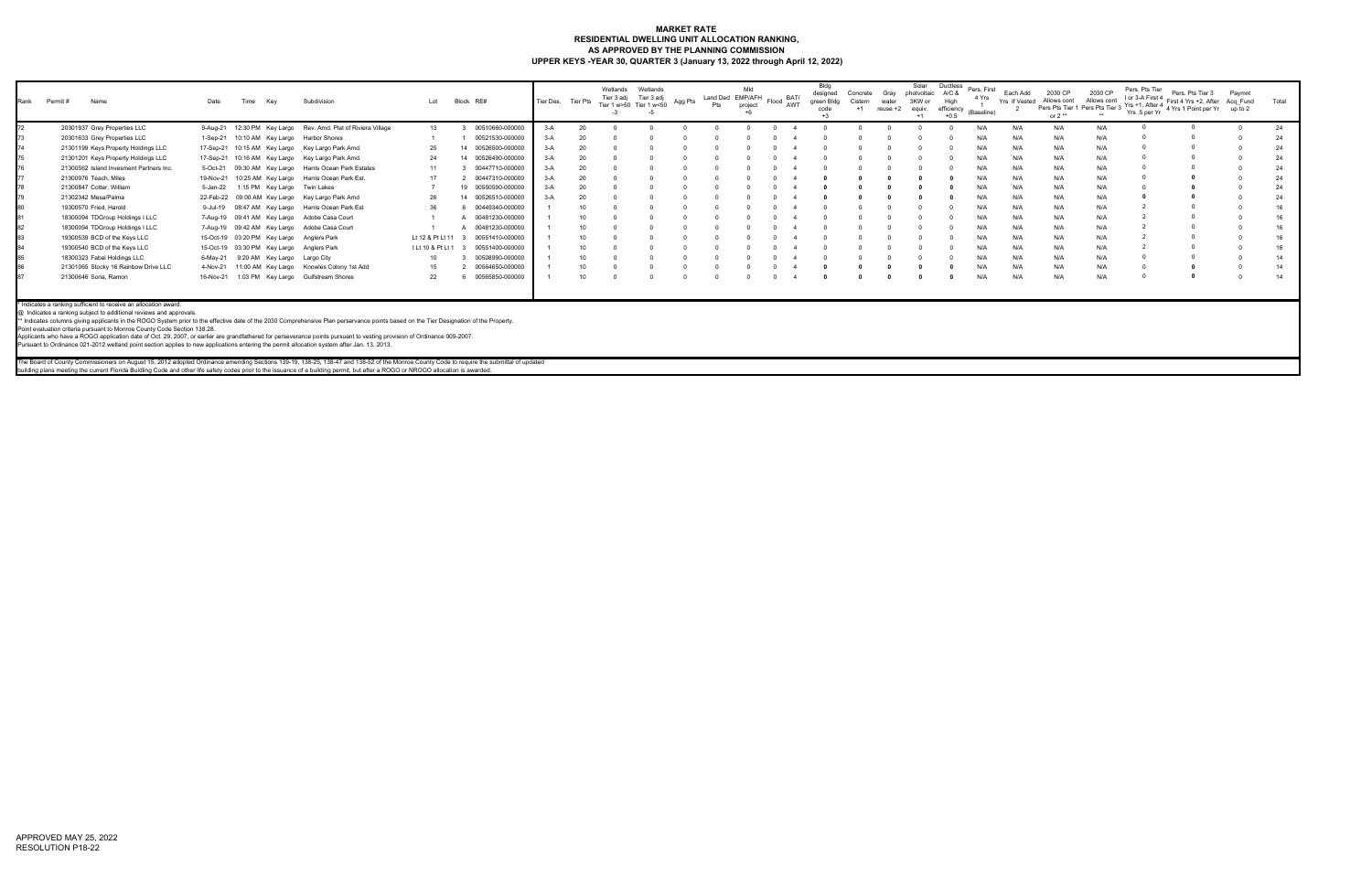## **MARKET RATE RESIDENTIAL DWELLING UNIT ALLOCATION RANKING, AS APPROVED BY THE PLANNING COMMISSION UPPER KEYS -YEAR 30, QUARTER 3 (January 13, 2022 through April 12, 2022)**

| Rank | Permit # | Name                                                                                                                                                                                                                                                                                                                                                              | Date      | Time<br>Key | Subdivision                                                                                                                                                                                                                                                                                                                                                       | Lot               |    | Block RE#          | Tier Des. Tier Pts |    | Wetlands<br>Tier 3 adj<br>Tier 1 w>50 Tier 1 w<50 | Wetlands<br>Tier 3 adj | Agg Pts | Land Ded EMP/AFH<br>Pts | Mkt<br>project | Flood BAT/<br>AWT | designed<br>green Bldg<br>code | Concrete<br>Cistern | Gray<br>water<br>reuse +2 | Solar<br>photvoltaic<br>3KW or<br>equiv. | <b>Ductless</b><br>A/C &<br>High<br>efficiency<br>$+0.5$ | Pers. First<br>4 Yrs<br>(Baseline) | Each Add<br>Yrs If Vested | 2030 CP<br>Allows cont<br>or $2**$ | 2030 CP<br>Allows cont<br>Pers Pts Tier 1 Pers Pts Tier 3 | Pers. Pts Tier<br>I or 3-A First 4 | Pers. Pts Tier 3<br>First 4 Yrs +2, After Acq Fund<br>Yrs +1, After 4 First 4 Tis +2, Alter Acq_Fund<br>Yrs .5 per Yr 4 Yrs 1 Point per Yr up to 2 | Pavmnt | Total |
|------|----------|-------------------------------------------------------------------------------------------------------------------------------------------------------------------------------------------------------------------------------------------------------------------------------------------------------------------------------------------------------------------|-----------|-------------|-------------------------------------------------------------------------------------------------------------------------------------------------------------------------------------------------------------------------------------------------------------------------------------------------------------------------------------------------------------------|-------------------|----|--------------------|--------------------|----|---------------------------------------------------|------------------------|---------|-------------------------|----------------|-------------------|--------------------------------|---------------------|---------------------------|------------------------------------------|----------------------------------------------------------|------------------------------------|---------------------------|------------------------------------|-----------------------------------------------------------|------------------------------------|----------------------------------------------------------------------------------------------------------------------------------------------------|--------|-------|
|      |          | 20301937 Grey Properties LLC                                                                                                                                                                                                                                                                                                                                      |           |             | 9-Aug-21 12:30 PM Key Largo Rev. Amd. Plat of Riviera Village                                                                                                                                                                                                                                                                                                     | 13                |    | 00510660-000000    | $3-A$              |    |                                                   |                        |         |                         |                |                   |                                |                     |                           |                                          |                                                          |                                    | N/A                       | N/A                                | N/A                                                       |                                    |                                                                                                                                                    |        | 24    |
|      |          | 20301633 Grey Properties LLC                                                                                                                                                                                                                                                                                                                                      | 1-Sep-21  |             | 10:10 AM Key Largo Harbor Shores                                                                                                                                                                                                                                                                                                                                  |                   |    | 00521530-000000    | $3-A$              |    |                                                   |                        |         |                         |                |                   |                                |                     |                           |                                          |                                                          |                                    | N/A                       | N/F                                | N/A                                                       |                                    |                                                                                                                                                    |        | 24    |
|      |          | 21301199 Keys Property Holdings LLC                                                                                                                                                                                                                                                                                                                               |           |             | 17-Sep-21 10:15 AM Key Largo Key Largo Park Amd.                                                                                                                                                                                                                                                                                                                  | 25                | 14 | 00526500-000000    | $3-A$              | 20 |                                                   |                        |         |                         |                |                   |                                |                     |                           |                                          |                                                          | N/f                                | N/A                       | N/A                                | N/A                                                       |                                    |                                                                                                                                                    |        | 24    |
|      |          | 21301201 Keys Property Holdings LLC                                                                                                                                                                                                                                                                                                                               |           |             | 17-Sep-21 10:16 AM Key Largo Key Largo Park Amd.                                                                                                                                                                                                                                                                                                                  | 24                | 14 | 00526490-000000    | $3-A$              |    |                                                   |                        |         |                         |                |                   |                                |                     |                           |                                          |                                                          |                                    | N/A                       | N/A                                | N/A                                                       |                                    |                                                                                                                                                    |        |       |
|      |          | 21300562 Island Invesment Partners Inc.                                                                                                                                                                                                                                                                                                                           | 5-Oct-21  |             | 09:30 AM Key Largo Harris Ocean Park Estates                                                                                                                                                                                                                                                                                                                      | 11                |    | 00447710-000000    | $3-A$              |    |                                                   |                        |         |                         |                |                   |                                |                     |                           |                                          |                                                          | N/L                                | N/A                       | N/L                                | N/A                                                       |                                    |                                                                                                                                                    |        |       |
|      |          | 21300976 Teach, Miles                                                                                                                                                                                                                                                                                                                                             | 19-Nov-21 |             | 10:25 AM Key Largo Harris Ocean Park Est.                                                                                                                                                                                                                                                                                                                         | 17                |    | 00447310-000000    | $3-A$              |    |                                                   |                        |         |                         |                |                   |                                |                     |                           |                                          |                                                          |                                    | N/A                       | N/A                                | N/A                                                       |                                    |                                                                                                                                                    |        |       |
|      |          | 21300847 Cotter, William                                                                                                                                                                                                                                                                                                                                          | 5-Jan-22  |             | 1:15 PM Key Largo Twin Lakes                                                                                                                                                                                                                                                                                                                                      |                   |    | 19 00550590-000000 | $3-A$              |    |                                                   |                        |         |                         |                |                   |                                |                     |                           |                                          |                                                          |                                    | N/A                       | N/A                                | N/A                                                       |                                    |                                                                                                                                                    |        |       |
|      |          | 21302342 Mesa/Palma                                                                                                                                                                                                                                                                                                                                               |           |             | 22-Feb-22 09:00 AM Key Largo Key Largo Park Amd                                                                                                                                                                                                                                                                                                                   | 26                | 14 | 00526510-000000    | $3-A$              |    |                                                   |                        |         |                         |                |                   |                                |                     |                           |                                          |                                                          |                                    | N/L                       | N/L                                | N/A                                                       |                                    |                                                                                                                                                    |        | 24    |
|      |          | 19300570 Fried, Harold                                                                                                                                                                                                                                                                                                                                            |           |             | 9-Jul-19 08:47 AM Key Largo Harris Ocean Park Est                                                                                                                                                                                                                                                                                                                 | 36                |    | 00449340-000000    |                    |    |                                                   |                        |         |                         |                |                   |                                |                     |                           |                                          |                                                          |                                    | N/A                       | N/A                                | N/A                                                       |                                    |                                                                                                                                                    |        | 16    |
|      |          | 18300094 TDGroup Holdings I LLC                                                                                                                                                                                                                                                                                                                                   |           |             | 7-Aug-19 09:41 AM Key Largo Adobe Casa Court                                                                                                                                                                                                                                                                                                                      |                   |    | 00481230-000000    |                    |    |                                                   |                        |         |                         |                |                   |                                |                     |                           |                                          |                                                          |                                    | N/A                       | N/F                                | N/A                                                       |                                    |                                                                                                                                                    |        | 16    |
|      |          | 18300094 TDGroup Holdings I LLC                                                                                                                                                                                                                                                                                                                                   |           |             | 7-Aug-19 09:42 AM Key Largo Adobe Casa Court                                                                                                                                                                                                                                                                                                                      |                   |    | 00481230-000000    |                    |    |                                                   |                        |         |                         |                |                   |                                |                     |                           |                                          |                                                          |                                    | N/A                       | N/A                                | N/A                                                       |                                    |                                                                                                                                                    |        |       |
|      |          | 19300539 BCD of the Keys LLC                                                                                                                                                                                                                                                                                                                                      |           |             | 15-Oct-19 03:20 PM Key Largo Anglers Park                                                                                                                                                                                                                                                                                                                         | Lt 12 & Pt Lt 11  |    | 00551410-000000    |                    |    |                                                   |                        |         |                         |                |                   |                                |                     |                           |                                          |                                                          |                                    | N/A                       | N/F                                | N/A                                                       |                                    |                                                                                                                                                    |        |       |
|      |          | 19300540 BCD of the Keys LLC                                                                                                                                                                                                                                                                                                                                      |           |             | 15-Oct-19 03:30 PM Key Largo Anglers Park                                                                                                                                                                                                                                                                                                                         | t Lt 10 & Pt Lt 1 |    | 00551400-000000    |                    |    |                                                   |                        |         |                         |                |                   |                                |                     |                           |                                          |                                                          |                                    | N/A                       | N/F                                | N/A                                                       |                                    |                                                                                                                                                    |        |       |
|      |          | 18300323 Fabel Holdings LLC                                                                                                                                                                                                                                                                                                                                       | 6-May-21  |             | 9:20 AM Key Largo Largo City                                                                                                                                                                                                                                                                                                                                      | 10                |    | 00508990-000000    |                    |    |                                                   |                        |         |                         |                |                   |                                |                     |                           |                                          |                                                          | N/f                                | N/A                       | N/A                                | N/A                                                       |                                    |                                                                                                                                                    |        |       |
|      |          | 21301065 Stocky 16 Rainbow Drive LLC                                                                                                                                                                                                                                                                                                                              | 4-Nov-21  |             | 11:00 AM Key Largo Knowles Colony 1st Add                                                                                                                                                                                                                                                                                                                         | 15                |    | 00564650-000000    |                    |    |                                                   |                        |         |                         |                |                   |                                |                     |                           |                                          |                                                          |                                    | N/A                       | N/A                                | N/A                                                       |                                    |                                                                                                                                                    |        | 14    |
|      |          | 21300646 Soria, Ramon                                                                                                                                                                                                                                                                                                                                             |           |             | 16-Nov-21 1:03 PM Key Largo Gulfstream Shores                                                                                                                                                                                                                                                                                                                     | 22                |    | 00565850-000000    |                    |    |                                                   |                        |         |                         |                |                   |                                |                     |                           |                                          |                                                          | N/f                                | N/A                       | N/L                                | N/A                                                       |                                    |                                                                                                                                                    |        | 14    |
|      |          | * Indicates a ranking sufficient to receive an allocation award.<br>@ Indicates a ranking subject to additional reviews and approvals.<br>Point evaluation criteria pursuant to Monroe County Code Section 138.28.<br>Pursuant to Ordinance 021-2012 wetland point section applies to new applications entering the permit allocation system after Jan. 13, 2013. |           |             | ** Indicates columns giving applicants in the ROGO System prior to the effective date of the 2030 Comprehensive Plan perservance points based on the Tier Designation of the Property.<br>Applicants who have a ROGO application date of Oct. 29, 2007, or earlier are grandfathered for perseverance points pursuant to vesting provision of Ordinance 009-2007. |                   |    |                    |                    |    |                                                   |                        |         |                         |                |                   |                                |                     |                           |                                          |                                                          |                                    |                           |                                    |                                                           |                                    |                                                                                                                                                    |        |       |

The Board of County Commissioners on August 15, 2012 adopted Ordinance amending Sections 139-19, 138-25, 138-47 and 138-52 of the Monroe County Code to require the submittal of updated<br>building plans meeting the current Fl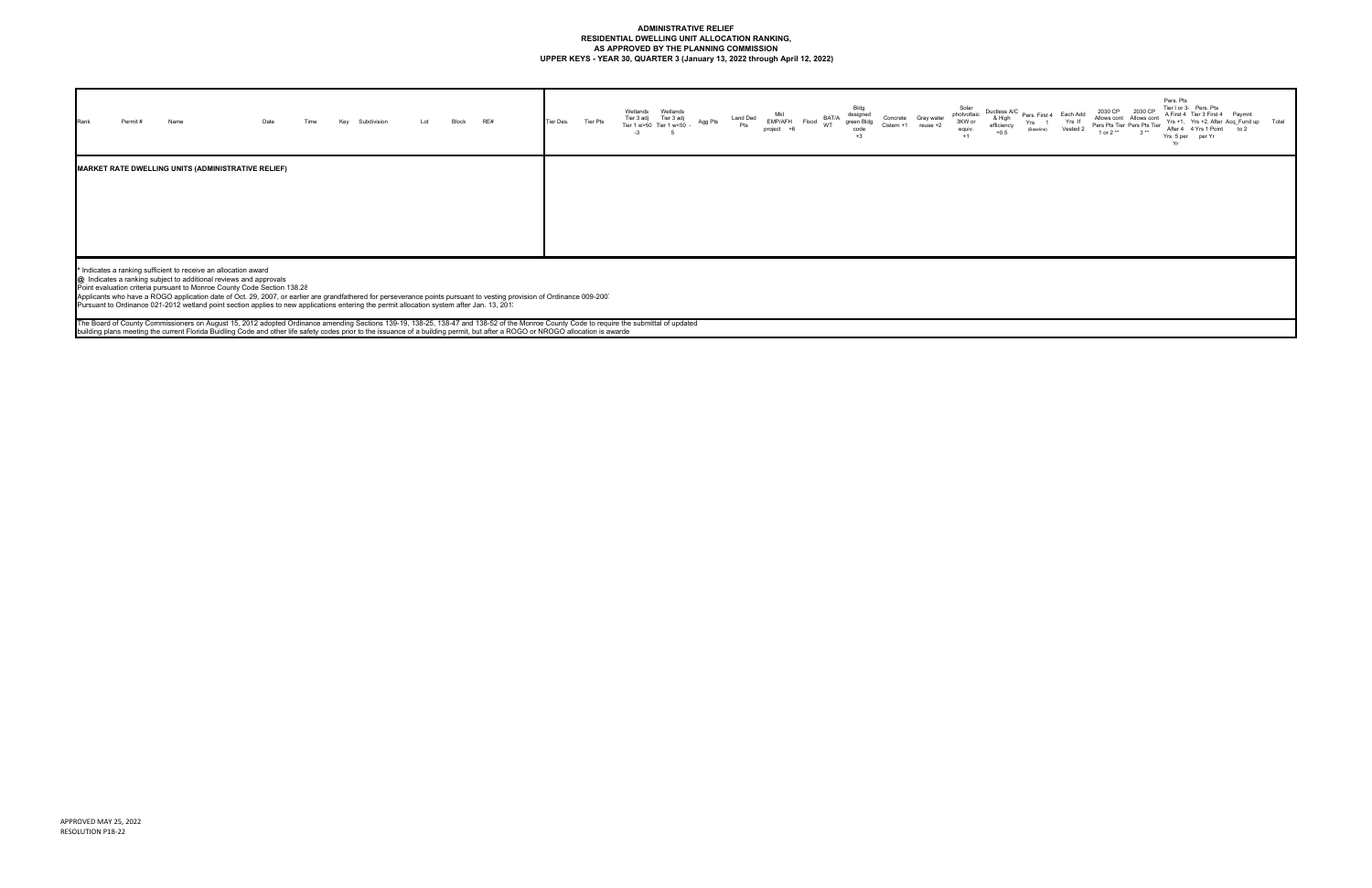## **ADMINISTRATIVE RELIEF RESIDENTIAL DWELLING UNIT ALLOCATION RANKING, AS APPROVED BY THE PLANNING COMMISSION UPPER KEYS - YEAR 30, QUARTER 3 (January 13, 2022 through April 12, 2022)**

| Rank<br>Permit#<br>Name                                   | Date | Time | Key<br>Subdivision | Lot | Block | RE# | Tier Des. | Tier Pts | Wetlands<br>Wetlands<br>Tier 3 adj<br>Tier 3 adj<br>Agg Pts<br>Tier 1 w>50 Tier 1 w<50 -<br>$-3$<br>5 | Land Ded<br>Pts | Mkt<br>Flood BAT/A<br>EMP/AFH<br>project +6 | Bldg<br>designed<br>green Bldg<br>code<br>$+3$ | Concrete<br>Cistern +1 | Gray water<br>$reuse +2$ | Solar<br>photvoltaic<br>3KW or<br>equiv.<br>$+1$ | Ductless A/C<br>& High<br>efficiency<br>+0.5 |
|-----------------------------------------------------------|------|------|--------------------|-----|-------|-----|-----------|----------|-------------------------------------------------------------------------------------------------------|-----------------|---------------------------------------------|------------------------------------------------|------------------------|--------------------------|--------------------------------------------------|----------------------------------------------|
| <b>MARKET RATE DWELLING UNITS (ADMINISTRATIVE RELIEF)</b> |      |      |                    |     |       |     |           |          |                                                                                                       |                 |                                             |                                                |                        |                          |                                                  |                                              |

\* Indicates a ranking sufficient to receive an allocation award<br>@\_Indicates a ranking subject to additional reviews and approvals<br>Point evaluation criteria pursuant to Monroe County Code Section 138.2ξ<br>Applicants who have

The Board of County Commissioners on August 15, 2012 adopted Ordinance amending Sections 139-19, 138-25, 138-47 and 138-52 of the Monroe County Code to require the submittal of updated<br>building plans meeting the current Fl

| A/C<br>h<br>cy | Pers. First 4<br>Yrs<br>$\overline{1}$<br>(Baseline) | Each Add<br>Yrs If<br>Vested 2 | 2030 CP<br>Allows cont Allows cont<br>Pers Pts Tier Pers Pts Tier<br>1 or 2 ** | 2030 CP<br>$3**$ | Pers. Pts<br>Yrs .5 per<br>Yr | Tier I or 3- Pers, Pts<br>A First 4 Tier 3 First 4<br>After 4 4 Yrs 1 Point<br>per Yr | Paymnt<br>Yrs +1, Yrs +2, After Acq Fund up<br>to $2$ | Total |
|----------------|------------------------------------------------------|--------------------------------|--------------------------------------------------------------------------------|------------------|-------------------------------|---------------------------------------------------------------------------------------|-------------------------------------------------------|-------|
|                |                                                      |                                |                                                                                |                  |                               |                                                                                       |                                                       |       |
|                |                                                      |                                |                                                                                |                  |                               |                                                                                       |                                                       |       |
|                |                                                      |                                |                                                                                |                  |                               |                                                                                       |                                                       |       |
|                |                                                      |                                |                                                                                |                  |                               |                                                                                       |                                                       |       |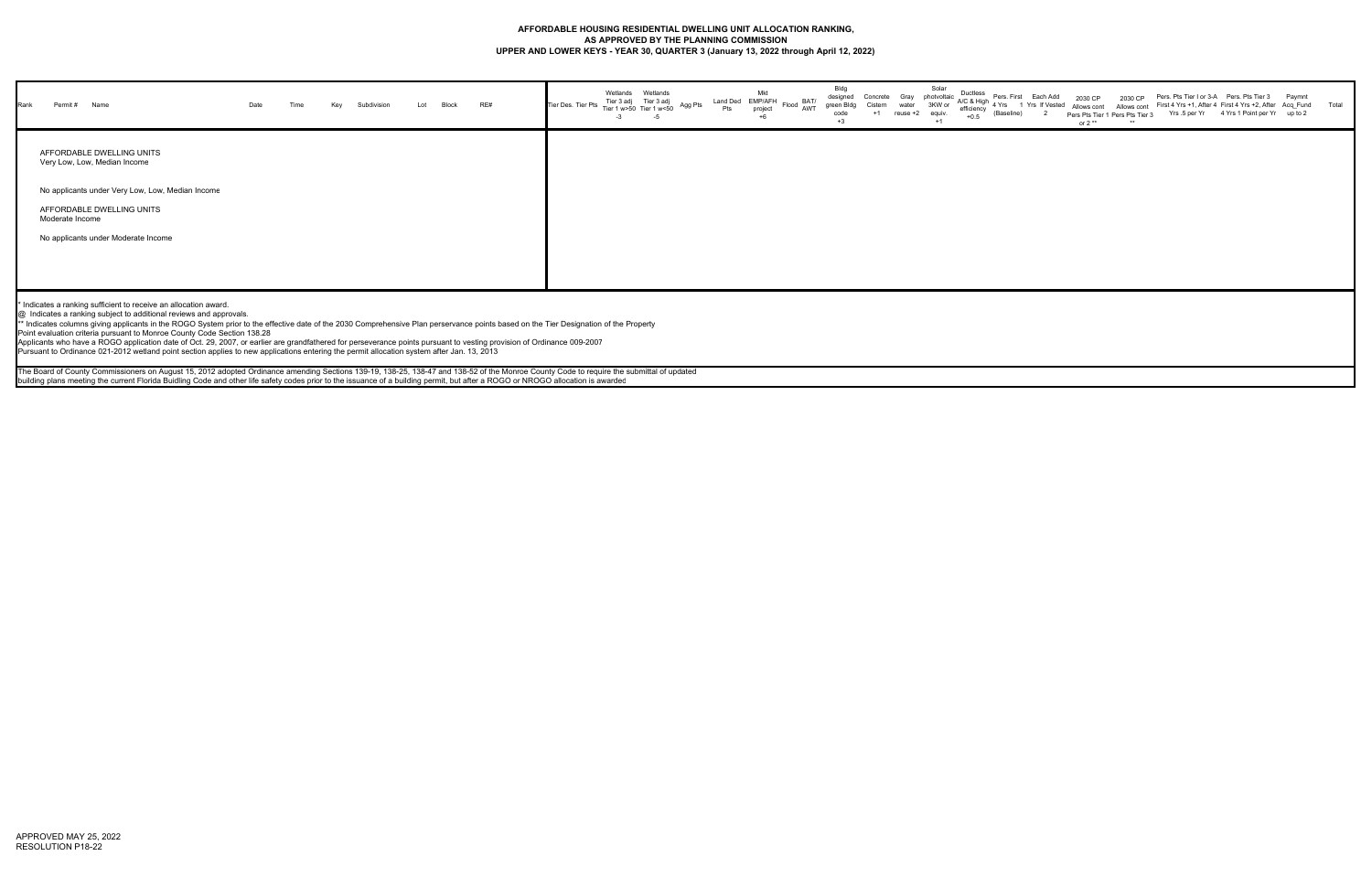## **AFFORDABLE HOUSING RESIDENTIAL DWELLING UNIT ALLOCATION RANKING, AS APPROVED BY THE PLANNING COMMISSION UPPER AND LOWER KEYS - YEAR 30, QUARTER 3 (January 13, 2022 through April 12, 2022)**

| Rank<br>Permit # Name                                     | Date | Time | Key | Subdivision | Lot | <b>Block</b> | RE# | Tier Des. Tier Pts Tier 1 w>50 Tier 1 w<50 <sup>Pr</sup> | Wetlands<br>$-3$ | Wetlands<br>Tier 3 adj Tier 3 adj<br>-5 | Agg Pts | Mkt<br>Land Ded EMP/AFH Flood BAT/<br>Pts project Flood AWT<br>project | Bidg<br>designed<br>green Bldg<br>code | Concrete Gray photvoltaic<br>Cistern<br>$+1$ | water<br>reuse +2 equiv. | Solar<br>3KW or<br>$+1$ | Ductless<br>$+0.5$ | Pers. First Each Add<br>$\sim$ or $\sim$ A/C & High $\frac{1}{4}$ Yrs 1 Yrs If Vested $\sim$<br>(Baseline) | or $2**$ | Pers Pts Tier 1 Pers Pts Tier 3 |  | Pers. Pts Tier I or 3-A  Pers. Pts Tier 3  Paymnt<br>2030 CP   2030 CP  Pers. Pts Tier I or 3-A  Pers. Pts Tier 3   Paymnt<br>I Allows cont  Allows cont  First 4 Yrs +1, After 4  First 4 Yrs +2, After Acq_Fund   Total<br>Yrs .5 per Yr 4 Yrs 1 Point per Yr up to 2 |  |
|-----------------------------------------------------------|------|------|-----|-------------|-----|--------------|-----|----------------------------------------------------------|------------------|-----------------------------------------|---------|------------------------------------------------------------------------|----------------------------------------|----------------------------------------------|--------------------------|-------------------------|--------------------|------------------------------------------------------------------------------------------------------------|----------|---------------------------------|--|-------------------------------------------------------------------------------------------------------------------------------------------------------------------------------------------------------------------------------------------------------------------------|--|
| AFFORDABLE DWELLING UNITS<br>Very Low, Low, Median Income |      |      |     |             |     |              |     |                                                          |                  |                                         |         |                                                                        |                                        |                                              |                          |                         |                    |                                                                                                            |          |                                 |  |                                                                                                                                                                                                                                                                         |  |
| No applicants under Very Low, Low, Median Income          |      |      |     |             |     |              |     |                                                          |                  |                                         |         |                                                                        |                                        |                                              |                          |                         |                    |                                                                                                            |          |                                 |  |                                                                                                                                                                                                                                                                         |  |
| AFFORDABLE DWELLING UNITS<br>Moderate Income              |      |      |     |             |     |              |     |                                                          |                  |                                         |         |                                                                        |                                        |                                              |                          |                         |                    |                                                                                                            |          |                                 |  |                                                                                                                                                                                                                                                                         |  |
| No applicants under Moderate Income                       |      |      |     |             |     |              |     |                                                          |                  |                                         |         |                                                                        |                                        |                                              |                          |                         |                    |                                                                                                            |          |                                 |  |                                                                                                                                                                                                                                                                         |  |
|                                                           |      |      |     |             |     |              |     |                                                          |                  |                                         |         |                                                                        |                                        |                                              |                          |                         |                    |                                                                                                            |          |                                 |  |                                                                                                                                                                                                                                                                         |  |

The Board of County Commissioners on August 15, 2012 adopted Ordinance amending Sections 139-19, 138-25, 138-47 and 138-52 of the Monroe County Code to require the submittal of updated building plans meeting the current Florida Buidling Code and other life safety codes prior to the issuance of a building permit, but after a ROGO or NROGO allocation is awarded

\* Indicates a ranking sufficient to receive an allocation award.

@ Indicates a ranking subject to additional reviews and approvals.

\*\* Indicates columns giving applicants in the ROGO System prior to the effective date of the 2030 Comprehensive Plan perservance points based on the Tier Designation of the Property

Point evaluation criteria pursuant to Monroe County Code Section 138.28

Applicants who have a ROGO application date of Oct. 29, 2007, or earlier are grandfathered for perseverance points pursuant to vesting provision of Ordinance 009-2007

Pursuant to Ordinance 021-2012 wetland point section applies to new applications entering the permit allocation system after Jan. 13, 2013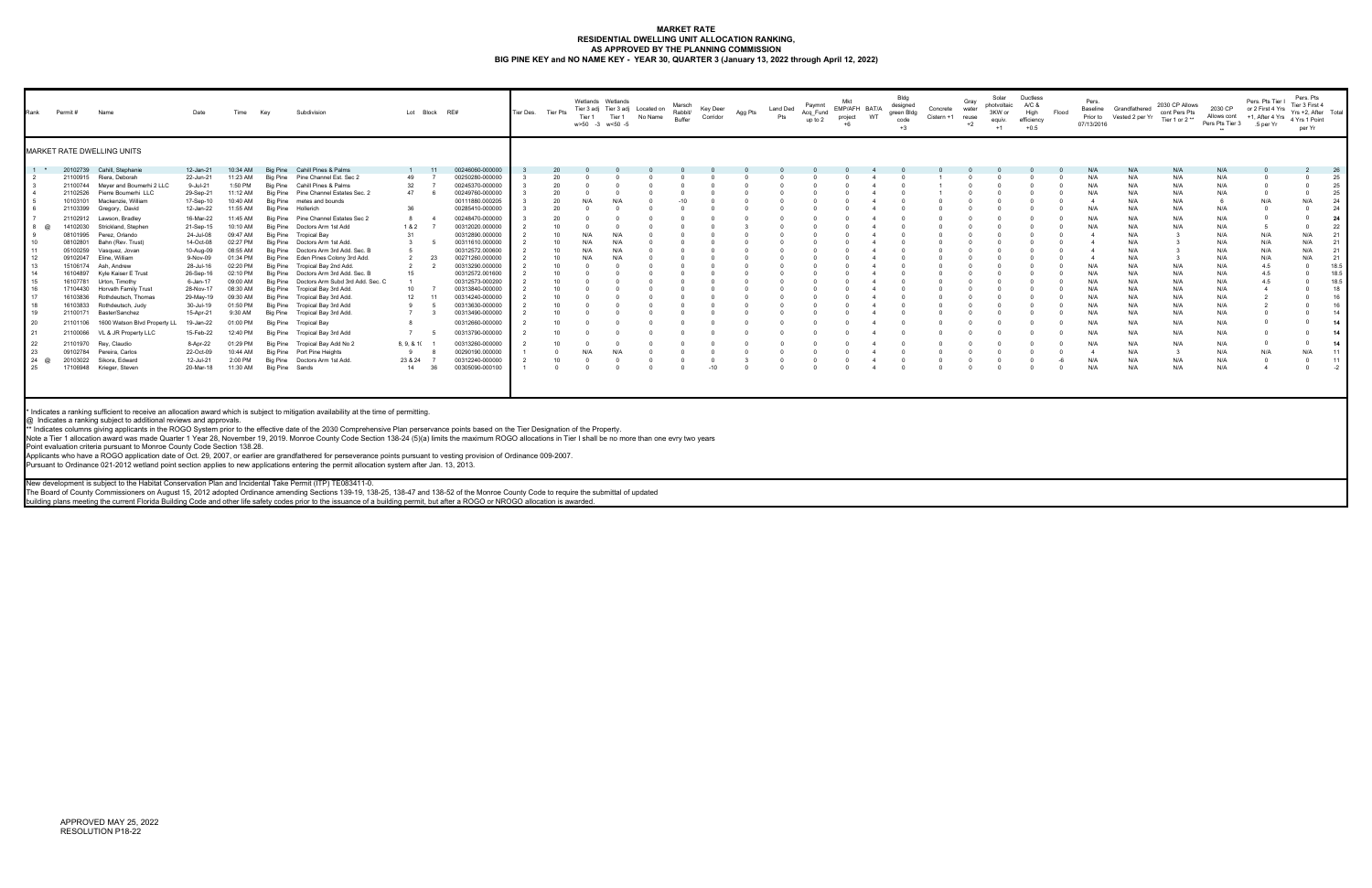#### **MARKET RATE RESIDENTIAL DWELLING UNIT ALLOCATION RANKING, AS APPROVED BY THE PLANNING COMMISSION BIG PINE KEY and NO NAME KEY - YEAR 30, QUARTER 3 (January 13, 2022 through April 12, 2022)**

| Rank     | Permit # | Name                          | Date      | Time     | Key                        | Subdivision                               |             | Lot Block RE#         | Tier Des. Tier Pts | Tier 1 | Wetlands Wetlands<br>Tier 1<br>w>50 -3 w<50 -5 | Tier 3 adj Tier 3 adj Located on<br>No Name | Marsch<br>Rabbit/<br>Buffer | Key Deer<br>Corridor | Agg Pts | Land Ded<br>Pts | Paymnt<br>Acq_Fund<br>up to 2 | Mkt<br>EMP/AFH BAT/A<br>project | WT | Bldg<br>designed<br>green Bldg<br>code<br>$+3$ | Concrete<br>Cistern +1 | Gray<br>water<br>reuse<br>$+2$ | Solar<br>photvoltaic A/C &<br>3KW or<br>equiv.<br>$+1$ | <b>Ductless</b><br>High<br>efficiency<br>$+0.5$ | Flood | Pers.<br>Baseline<br>07/13/2016 | Grandfathered<br>Prior to Vested 2 per Yr | 2030 CP Allows<br>cont Pers Pts<br>Tier 1 or 2** | 2030 CP<br>Allows cont<br>Pers Pts Tier 3 5 per Yr<br>$***$ | Pers. Pts Tier I<br>or 2 First 4 Yrs<br>+1, After 4 Yrs | Pers. Pts<br>Tier 3 First 4<br>Yrs +2. After Total<br>4 Yrs 1 Point<br>per Yr |      |
|----------|----------|-------------------------------|-----------|----------|----------------------------|-------------------------------------------|-------------|-----------------------|--------------------|--------|------------------------------------------------|---------------------------------------------|-----------------------------|----------------------|---------|-----------------|-------------------------------|---------------------------------|----|------------------------------------------------|------------------------|--------------------------------|--------------------------------------------------------|-------------------------------------------------|-------|---------------------------------|-------------------------------------------|--------------------------------------------------|-------------------------------------------------------------|---------------------------------------------------------|-------------------------------------------------------------------------------|------|
|          |          | MARKET RATE DWELLING UNITS    |           |          |                            |                                           |             |                       |                    |        |                                                |                                             |                             |                      |         |                 |                               |                                 |    |                                                |                        |                                |                                                        |                                                 |       |                                 |                                           |                                                  |                                                             |                                                         |                                                                               |      |
| $-1$ $+$ | 20102739 | Cahill, Stephanie             | 12-Jan-21 | 10:34 AM |                            | Big Pine Cahill Pines & Palms             |             | 00246060-000000       |                    |        |                                                |                                             |                             |                      |         |                 |                               |                                 |    |                                                |                        |                                |                                                        |                                                 |       | N/A                             | N/A                                       | N/A                                              | N/A                                                         |                                                         |                                                                               | 26   |
|          | 21100915 | Riera, Deborah                | 22-Jun-21 | 11:23 AM |                            | Big Pine Pine Channel Est, Sec 2          | 49          | 00250280-000000       |                    |        |                                                |                                             |                             |                      |         |                 |                               |                                 |    |                                                |                        |                                |                                                        |                                                 |       | N/f                             | N/A                                       | N/A                                              | N/A                                                         |                                                         |                                                                               | 25   |
|          | 21100744 | Meyer and Boumerhi 2 LLC      | 9-Jul-21  | 1:50 PM  |                            | Big Pine Cahill Pines & Palms             | 32          | 00245370-000000       | 20                 |        |                                                |                                             |                             |                      |         |                 |                               |                                 |    |                                                |                        |                                |                                                        |                                                 |       | N/f                             | N/A                                       | N/A                                              | N/A                                                         |                                                         |                                                                               | 25   |
|          | 21102526 | Pierre Boumerhi LLC           | 29-Sep-21 | 11:12 AM |                            | Big Pine Pine Channel Estates Sec. 2      | 47          | 00249760-000000       |                    |        |                                                |                                             |                             |                      |         |                 |                               |                                 |    |                                                |                        |                                |                                                        |                                                 |       | N/f                             | N/A                                       | N/A                                              | N/A                                                         |                                                         |                                                                               | 25   |
|          | 10103101 | Mackenzie, William            | 17-Sep-10 | 10:40 AM |                            | Big Pine metes and bounds                 |             | 00111880.000205       | 20                 | N/A    | N/A                                            |                                             |                             |                      |         |                 |                               |                                 |    |                                                |                        |                                |                                                        |                                                 |       |                                 | N/A                                       | N/A                                              |                                                             | N/A                                                     | N/A                                                                           | 24   |
|          | 21103399 | Gregory, David                | 12-Jan-22 | 11:55 AM | Big Pine Hollerich         |                                           | 36          | 00285410-000000       | 20                 |        |                                                |                                             |                             |                      |         |                 |                               |                                 |    |                                                |                        |                                |                                                        |                                                 |       | N/f                             | N/A                                       | N/A                                              | N/A                                                         |                                                         |                                                                               | 24   |
|          | 21102912 | Lawson, Bradley               | 16-Mar-22 | 11:45 AM |                            | Big Pine Pine Channel Estates Sec 2       |             | 00248470-000000       |                    |        |                                                |                                             |                             |                      |         |                 |                               |                                 |    |                                                |                        |                                |                                                        |                                                 |       |                                 | N/A                                       | N/A                                              | N/A                                                         |                                                         |                                                                               | 24   |
|          | 14102030 | Strickland, Stephen           | 21-Sep-15 | 10:10 AM |                            | Big Pine Doctors Arm 1st Add              | 1&2         | 00312020.000000       |                    |        |                                                |                                             |                             |                      |         |                 |                               |                                 |    |                                                |                        |                                |                                                        |                                                 |       | N/L                             | N/A                                       | N/A                                              | N/A                                                         |                                                         |                                                                               | 22   |
|          | 08101995 | Perez, Orlando                | 24-Jul-08 | 09:47 AM | Big Pine Tropical Bay      |                                           |             | 00312890.000000       | 10                 | N/A    | N/A                                            |                                             |                             |                      |         |                 |                               |                                 |    |                                                |                        |                                |                                                        |                                                 |       |                                 | N/A                                       |                                                  | N/A                                                         | N/A                                                     | N/A                                                                           | 21   |
| 10       | 08102801 | Bahn (Rev. Trust)             | 14-Oct-08 | 02:27 PM |                            | Big Pine Doctors Arm 1st Add.             |             | 00311610.000000       | 10                 | N/A    | N/A                                            |                                             |                             |                      |         |                 |                               |                                 |    |                                                |                        |                                |                                                        |                                                 |       |                                 | N/A                                       |                                                  | N/A                                                         | N/A                                                     | N/A                                                                           | 21   |
| 11       | 05100259 | Vasquez, Jovan                | 10-Aug-09 | 08:55 AM |                            | Big Pine Doctors Arm 3rd Add. Sec. B      |             | 00312572.000600       | 10                 |        | N/A                                            |                                             |                             |                      |         |                 |                               |                                 |    |                                                |                        |                                |                                                        |                                                 |       |                                 | N/A                                       |                                                  | N/A                                                         | N/A                                                     | N/A                                                                           | 21   |
| 12       | 09102047 | Eline, William                | 9-Nov-09  | 01:34 PM |                            | Big Pine Eden Pines Colony 3rd Add.       |             | 23<br>00271260.000000 |                    | N/A    | N/A                                            |                                             |                             |                      |         |                 |                               |                                 |    |                                                |                        |                                |                                                        |                                                 |       |                                 | N/f                                       |                                                  | N/A                                                         | N/A                                                     | N/A                                                                           | 21   |
| 13       | 15106174 | Ash, Andrew                   | 28-Jul-16 | 02:20 PM |                            | Big Pine Tropical Bay 2nd Add.            |             | 00313290.000000       | 10                 |        |                                                |                                             |                             |                      |         |                 |                               |                                 |    |                                                |                        |                                |                                                        |                                                 |       | N/L                             | N/A                                       | N/A                                              | N/A                                                         | 4.5                                                     |                                                                               | 18.5 |
| 14       | 16104897 | Kyle Kaiser E Trust           | 26-Sep-16 | 02:10 PM |                            | Big Pine Doctors Arm 3rd Add. Sec. B      | 15          | 00312572.001600       |                    |        |                                                |                                             |                             |                      |         |                 |                               |                                 |    |                                                |                        |                                |                                                        |                                                 |       |                                 | N/A                                       | N/A                                              | N/A                                                         | 4.5                                                     |                                                                               | 18.5 |
| 15       | 16107781 | Urton, Timothy                | 6-Jan-17  | 09:00 AM |                            | Big Pine Doctors Arm Subd 3rd Add. Sec. C |             | 00312573-000200       |                    |        |                                                |                                             |                             |                      |         |                 |                               |                                 |    |                                                |                        |                                |                                                        |                                                 |       | N/f                             | N/A                                       | N/A                                              | N/A                                                         | 4.5                                                     |                                                                               | 18.5 |
| 16       |          | 17104430 Horvath Family Trust | 28-Nov-17 | 08:30 AM |                            | Big Pine Tropical Bay 3rd Add.            | 10          | 00313840-000000       |                    |        |                                                |                                             |                             |                      |         |                 |                               |                                 |    |                                                |                        |                                |                                                        |                                                 |       | N/f                             | N/A                                       | N/A                                              | N/A                                                         |                                                         |                                                                               | 18   |
|          | 16103836 | Rothdeutsch, Thomas           | 29-May-19 | 09:30 AM |                            | Big Pine Tropical Bay 3rd Add.            | 12          | 00314240-000000       |                    |        |                                                |                                             |                             |                      |         |                 |                               |                                 |    |                                                |                        |                                |                                                        |                                                 |       | N/f                             | N/A                                       | N/A                                              | N/A                                                         |                                                         |                                                                               | 16   |
| 18       | 16103833 | Rothdeutsch, Judy             | 30-Jul-19 | 01:50 PM |                            | Big Pine Tropical Bay 3rd Add             |             | 00313630-000000       |                    |        |                                                |                                             |                             |                      |         |                 |                               |                                 |    |                                                |                        |                                |                                                        |                                                 |       | N/f                             | N/A                                       | N/A                                              | N/A                                                         |                                                         |                                                                               | 16   |
| 19       | 21100171 | Baster/Sanchez                | 15-Apr-21 | 9:30 AM  |                            | Big Pine Tropical Bay 3rd Add.            |             | 00313490-000000       |                    |        |                                                |                                             |                             |                      |         |                 |                               |                                 |    |                                                |                        |                                |                                                        |                                                 |       | N/A                             | N/A                                       | N/A                                              | N/A                                                         |                                                         |                                                                               | 14   |
| 20       | 21101106 | 1600 Watson Blvd Property LL  | 19-Jan-22 | 01:00 PM | Big Pine Tropical Bay      |                                           |             | 00312660-000000       |                    |        |                                                |                                             |                             |                      |         |                 |                               |                                 |    |                                                |                        |                                |                                                        |                                                 |       | N/f                             | N/A                                       | N/A                                              | N/A                                                         |                                                         |                                                                               |      |
| 21       |          | 21100066 VL & JR Property LLC | 15-Feb-22 | 12:40 PM |                            | Big Pine Tropical Bay 3rd Add             |             | 00313790-000000       |                    |        |                                                |                                             |                             |                      |         |                 |                               |                                 |    |                                                |                        |                                |                                                        |                                                 |       | N/L                             | N/A                                       | N/A                                              | N/A                                                         |                                                         |                                                                               |      |
| 22       | 21101970 | Rey, Claudio                  | 8-Apr-22  | 01:29 PM |                            | Big Pine Tropical Bay Add No 2            | 3, 9, 8, 10 | 00313260-000000       |                    |        |                                                |                                             |                             |                      |         |                 |                               |                                 |    |                                                |                        |                                |                                                        |                                                 |       | N/f                             | N/A                                       | N/A                                              | N/A                                                         |                                                         |                                                                               | 14   |
| 23       | 09102784 | Pereira, Carlos               | 22-Oct-09 | 10:44 AM | Big Pine Port Pine Heights |                                           |             | 00290190.000000       |                    |        |                                                |                                             |                             |                      |         |                 |                               |                                 |    |                                                |                        |                                |                                                        |                                                 |       |                                 | N/A                                       |                                                  | N/A                                                         | N/A                                                     | N/A                                                                           | 11   |
| 24 @     | 20103022 | Sikora, Edward                | 12-Jul-21 | 2:00 PM  |                            | Big Pine Doctors Arm 1st Add.             | 23 & 24     | 00312240-000000       |                    |        |                                                |                                             |                             |                      |         |                 |                               |                                 |    |                                                |                        |                                |                                                        |                                                 |       | N/A                             | N/A                                       | N/A                                              | N/A                                                         | $\overline{\mathbf{0}}$                                 |                                                                               | 11   |
| 25       |          | 17106948 Krieger, Steven      | 20-Mar-18 | 11:30 AM | Big Pine Sands             |                                           | 14          | 36<br>00305090-000100 |                    |        |                                                |                                             |                             | $-10$                |         |                 |                               |                                 |    |                                                |                        |                                |                                                        |                                                 |       | N/A                             | N/A                                       | N/A                                              | N/A                                                         |                                                         |                                                                               | $-2$ |
|          |          |                               |           |          |                            |                                           |             |                       |                    |        |                                                |                                             |                             |                      |         |                 |                               |                                 |    |                                                |                        |                                |                                                        |                                                 |       |                                 |                                           |                                                  |                                                             |                                                         |                                                                               |      |

Indicates a ranking sufficient to receive an allocation award which is subject to mitigation availability at the time of permitting.

@\_Indicates a ranking subject to additional reviews and approvals.<br>\*\* Indicates columns giving applicants in the ROGO System prior to the effective date of the 2030 Comprehensive Plan perservance points based on the Tier D

Note a Tier 1 allocation award was made Quarter 1 Year 28, November 19, 2019. Monroe County Code Section 138-24 (5)(a) limits the maximum ROGO allocations in Tier I shall be no more than one evry two years

Point evaluation criteria pursuant to Monroe County Code Section 138.28.

Applicants who have a ROGO application date of Oct. 29, 2007, or earlier are grandfathered for perseverance points pursuant to vesting provision of Ordinance 009-2007.<br>Pursuant to Ordinance 021-2012 wetland point section a

New development is subject to the Habitat Conservation Plan and Incidental Take Permit (ITP) TE083411-0.<br>The Board of County Commissioners on August 15, 2012 adopted Ordinance amending Sections 139-19, 138-25, 138-47 and 1